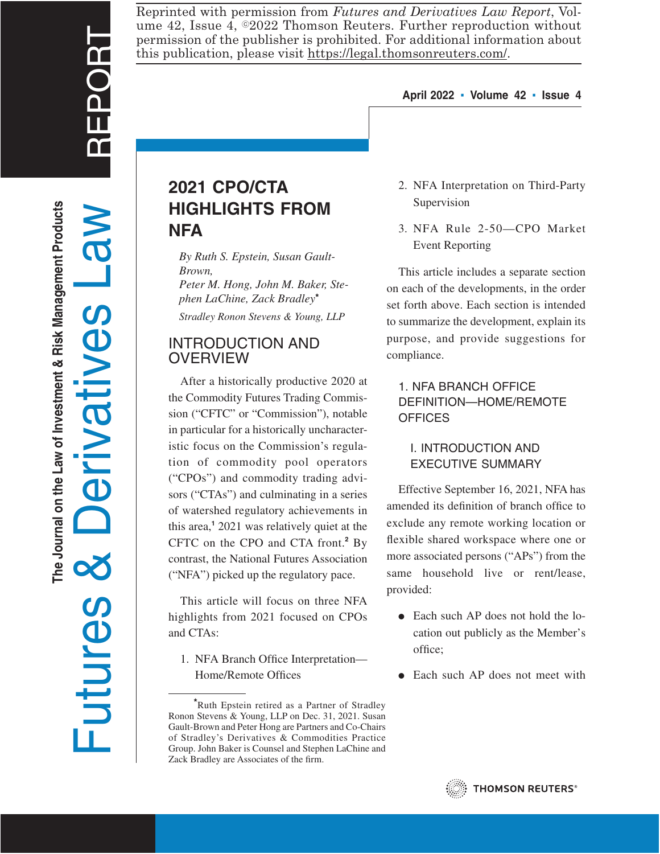Reprinted with permission from *Futures and Derivatives Law Report*, Volume 42, Issue 4,  $\odot$ 2022 Thomson Reuters. Further reproduction without permission of the publisher is prohibited. For additional information about this publication, please visit https://legal.thomsonreuters.com/.

#### **April 2022 ▪ Volume 42 ▪ Issue 4**

# **2021 CPO/CTA HIGHLIGHTS FROM NFA**

*By Ruth S. Epstein, Susan Gault-Brown,*

*Peter M. Hong, John M. Baker, Stephen LaChine, Zack Bradley***\***

*Stradley Ronon Stevens & Young, LLP*

## INTRODUCTION AND **OVERVIEW**

After a historically productive 2020 at the Commodity Futures Trading Commission ("CFTC" or "Commission"), notable in particular for a historically uncharacteristic focus on the Commission's regulation of commodity pool operators ("CPOs") and commodity trading advisors ("CTAs") and culminating in a series of watershed regulatory achievements in this area,**<sup>1</sup>** 2021 was relatively quiet at the CFTC on the CPO and CTA front.**<sup>2</sup>** By contrast, the National Futures Association ("NFA") picked up the regulatory pace.

This article will focus on three NFA highlights from 2021 focused on CPOs and CTAs:

1. NFA Branch Office Interpretation— Home/Remote Offices

- 2. NFA Interpretation on Third-Party Supervision
- 3. NFA Rule 2-50—CPO Market Event Reporting

This article includes a separate section on each of the developments, in the order set forth above. Each section is intended to summarize the development, explain its purpose, and provide suggestions for compliance.

## 1. NFA BRANCH OFFICE DEFINITION—HOME/REMOTE **OFFICES**

## I. INTRODUCTION AND EXECUTIVE SUMMARY

Effective September 16, 2021, NFA has amended its definition of branch office to exclude any remote working location or flexible shared workspace where one or more associated persons ("APs") from the same household live or rent/lease, provided:

- $\bullet$  Each such AP does not hold the location out publicly as the Member's office;
- Each such AP does not meet with



**<sup>\*</sup>**Ruth Epstein retired as a Partner of Stradley Ronon Stevens & Young, LLP on Dec. 31, 2021. Susan Gault-Brown and Peter Hong are Partners and Co-Chairs of Stradley's Derivatives & Commodities Practice Group. John Baker is Counsel and Stephen LaChine and Zack Bradley are Associates of the firm.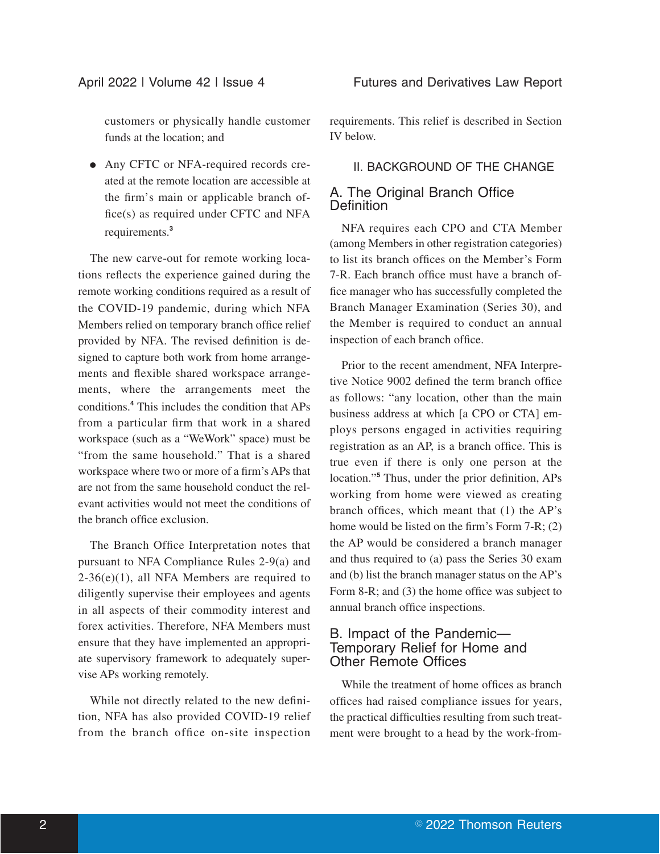customers or physically handle customer funds at the location; and

• Any CFTC or NFA-required records created at the remote location are accessible at the firm's main or applicable branch office(s) as required under CFTC and NFA requirements.**<sup>3</sup>**

The new carve-out for remote working locations reflects the experience gained during the remote working conditions required as a result of the COVID-19 pandemic, during which NFA Members relied on temporary branch office relief provided by NFA. The revised definition is designed to capture both work from home arrangements and flexible shared workspace arrangements, where the arrangements meet the conditions.**<sup>4</sup>** This includes the condition that APs from a particular firm that work in a shared workspace (such as a "WeWork" space) must be "from the same household." That is a shared workspace where two or more of a firm's APs that are not from the same household conduct the relevant activities would not meet the conditions of the branch office exclusion.

The Branch Office Interpretation notes that pursuant to NFA Compliance Rules 2-9(a) and  $2-36(e)(1)$ , all NFA Members are required to diligently supervise their employees and agents in all aspects of their commodity interest and forex activities. Therefore, NFA Members must ensure that they have implemented an appropriate supervisory framework to adequately supervise APs working remotely.

While not directly related to the new definition, NFA has also provided COVID-19 relief from the branch office on-site inspection requirements. This relief is described in Section IV below.

#### II. BACKGROUND OF THE CHANGE

### A. The Original Branch Office **Definition**

NFA requires each CPO and CTA Member (among Members in other registration categories) to list its branch offices on the Member's Form 7-R. Each branch office must have a branch office manager who has successfully completed the Branch Manager Examination (Series 30), and the Member is required to conduct an annual inspection of each branch office.

Prior to the recent amendment, NFA Interpretive Notice 9002 defined the term branch office as follows: "any location, other than the main business address at which [a CPO or CTA] employs persons engaged in activities requiring registration as an AP, is a branch office. This is true even if there is only one person at the location."**<sup>5</sup>** Thus, under the prior definition, APs working from home were viewed as creating branch offices, which meant that (1) the AP's home would be listed on the firm's Form 7-R; (2) the AP would be considered a branch manager and thus required to (a) pass the Series 30 exam and (b) list the branch manager status on the AP's Form 8-R; and (3) the home office was subject to annual branch office inspections.

#### B. Impact of the Pandemic— Temporary Relief for Home and Other Remote Offices

While the treatment of home offices as branch offices had raised compliance issues for years, the practical difficulties resulting from such treatment were brought to a head by the work-from-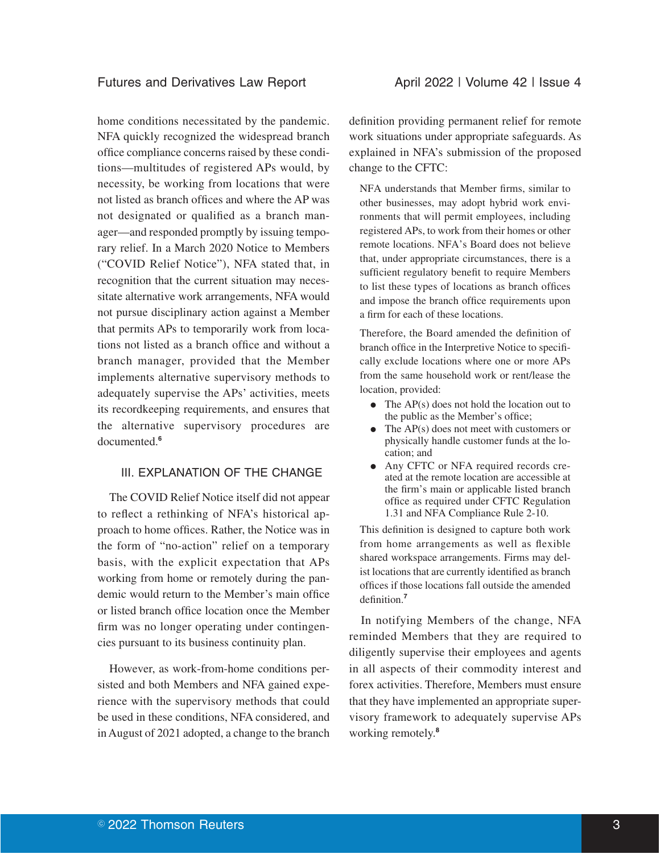home conditions necessitated by the pandemic. NFA quickly recognized the widespread branch office compliance concerns raised by these conditions—multitudes of registered APs would, by necessity, be working from locations that were not listed as branch offices and where the AP was not designated or qualified as a branch manager—and responded promptly by issuing temporary relief. In a March 2020 Notice to Members ("COVID Relief Notice"), NFA stated that, in recognition that the current situation may necessitate alternative work arrangements, NFA would not pursue disciplinary action against a Member that permits APs to temporarily work from locations not listed as a branch office and without a branch manager, provided that the Member implements alternative supervisory methods to adequately supervise the APs' activities, meets its recordkeeping requirements, and ensures that the alternative supervisory procedures are documented.**<sup>6</sup>**

#### III. EXPLANATION OF THE CHANGE

The COVID Relief Notice itself did not appear to reflect a rethinking of NFA's historical approach to home offices. Rather, the Notice was in the form of "no-action" relief on a temporary basis, with the explicit expectation that APs working from home or remotely during the pandemic would return to the Member's main office or listed branch office location once the Member firm was no longer operating under contingencies pursuant to its business continuity plan.

However, as work-from-home conditions persisted and both Members and NFA gained experience with the supervisory methods that could be used in these conditions, NFA considered, and in August of 2021 adopted, a change to the branch definition providing permanent relief for remote work situations under appropriate safeguards. As explained in NFA's submission of the proposed change to the CFTC:

NFA understands that Member firms, similar to other businesses, may adopt hybrid work environments that will permit employees, including registered APs, to work from their homes or other remote locations. NFA's Board does not believe that, under appropriate circumstances, there is a sufficient regulatory benefit to require Members to list these types of locations as branch offices and impose the branch office requirements upon a firm for each of these locations.

Therefore, the Board amended the definition of branch office in the Interpretive Notice to specifically exclude locations where one or more APs from the same household work or rent/lease the location, provided:

- $\bullet$  The AP(s) does not hold the location out to the public as the Member's office;
- $\bullet$  The AP(s) does not meet with customers or physically handle customer funds at the location; and
- Any CFTC or NFA required records created at the remote location are accessible at the firm's main or applicable listed branch office as required under CFTC Regulation 1.31 and NFA Compliance Rule 2-10.

This definition is designed to capture both work from home arrangements as well as flexible shared workspace arrangements. Firms may delist locations that are currently identified as branch offices if those locations fall outside the amended definition.**<sup>7</sup>**

In notifying Members of the change, NFA reminded Members that they are required to diligently supervise their employees and agents in all aspects of their commodity interest and forex activities. Therefore, Members must ensure that they have implemented an appropriate supervisory framework to adequately supervise APs working remotely.**<sup>8</sup>**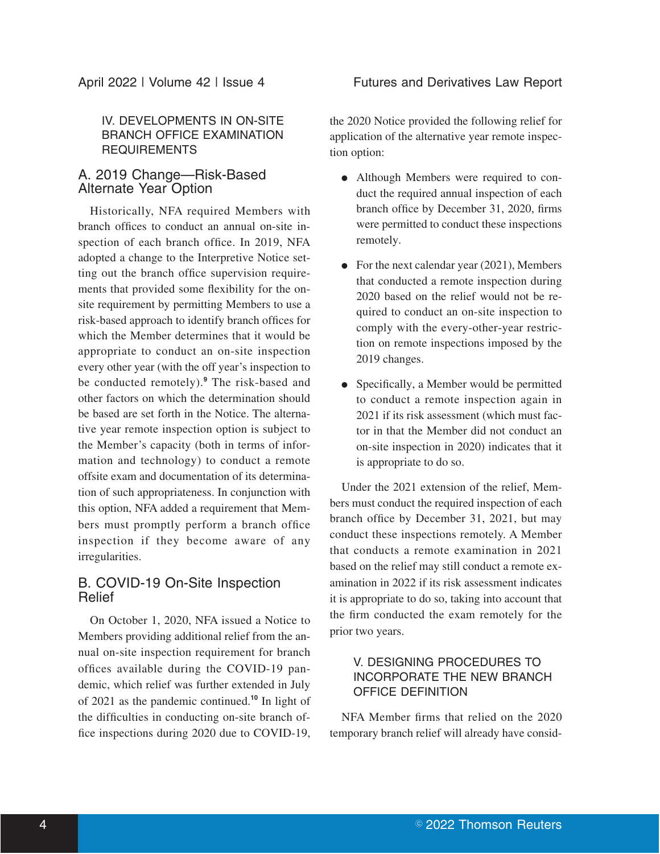## IV. DEVELOPMENTS IN ON-SITE BRANCH OFFICE EXAMINATION REQUIREMENTS

## A. 2019 Change—Risk-Based Alternate Year Option

Historically, NFA required Members with branch offices to conduct an annual on-site inspection of each branch office. In 2019, NFA adopted a change to the Interpretive Notice setting out the branch office supervision requirements that provided some flexibility for the onsite requirement by permitting Members to use a risk-based approach to identify branch offices for which the Member determines that it would be appropriate to conduct an on-site inspection every other year (with the off year's inspection to be conducted remotely).**<sup>9</sup>** The risk-based and other factors on which the determination should be based are set forth in the Notice. The alternative year remote inspection option is subject to the Member's capacity (both in terms of information and technology) to conduct a remote offsite exam and documentation of its determination of such appropriateness. In conjunction with this option, NFA added a requirement that Members must promptly perform a branch office inspection if they become aware of any irregularities.

## B. COVID-19 On-Site Inspection Relief

On October 1, 2020, NFA issued a Notice to Members providing additional relief from the annual on-site inspection requirement for branch offices available during the COVID-19 pandemic, which relief was further extended in July of 2021 as the pandemic continued.**<sup>10</sup>** In light of the difficulties in conducting on-site branch office inspections during 2020 due to COVID-19, the 2020 Notice provided the following relief for application of the alternative year remote inspection option:

- Although Members were required to conduct the required annual inspection of each branch office by December 31, 2020, firms were permitted to conduct these inspections remotely.
- For the next calendar year  $(2021)$ , Members that conducted a remote inspection during 2020 based on the relief would not be required to conduct an on-site inspection to comply with the every-other-year restriction on remote inspections imposed by the 2019 changes.
- Specifically, a Member would be permitted to conduct a remote inspection again in 2021 if its risk assessment (which must factor in that the Member did not conduct an on-site inspection in 2020) indicates that it is appropriate to do so.

Under the 2021 extension of the relief, Members must conduct the required inspection of each branch office by December 31, 2021, but may conduct these inspections remotely. A Member that conducts a remote examination in 2021 based on the relief may still conduct a remote examination in 2022 if its risk assessment indicates it is appropriate to do so, taking into account that the firm conducted the exam remotely for the prior two years.

## V. DESIGNING PROCEDURES TO INCORPORATE THE NEW BRANCH OFFICE DEFINITION

NFA Member firms that relied on the 2020 temporary branch relief will already have consid-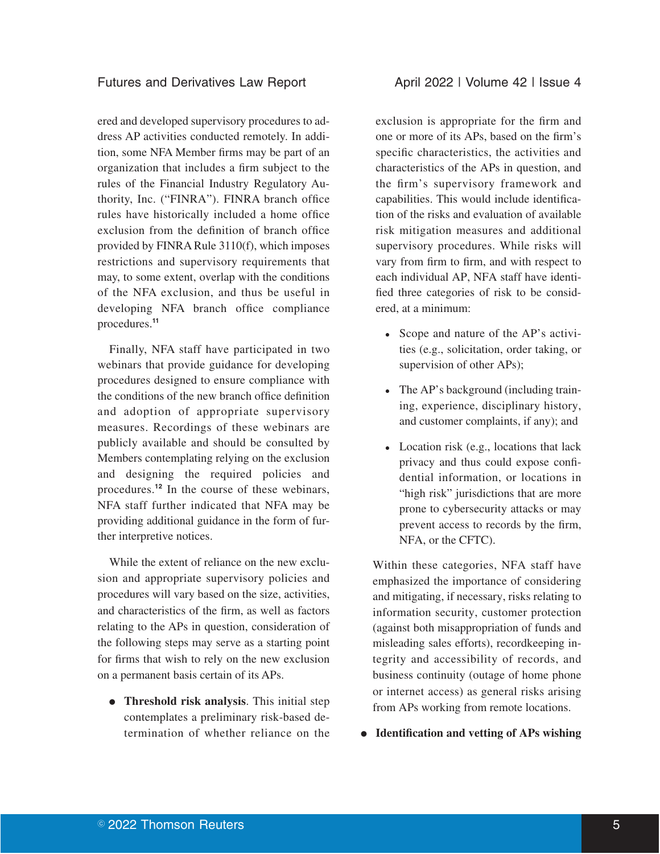#### Futures and Derivatives Law Report **April 2022 | Volume 42 | Issue 4**

ered and developed supervisory procedures to address AP activities conducted remotely. In addition, some NFA Member firms may be part of an organization that includes a firm subject to the rules of the Financial Industry Regulatory Authority, Inc. ("FINRA"). FINRA branch office rules have historically included a home office exclusion from the definition of branch office provided by FINRA Rule 3110(f), which imposes restrictions and supervisory requirements that may, to some extent, overlap with the conditions of the NFA exclusion, and thus be useful in developing NFA branch office compliance procedures.**<sup>11</sup>**

Finally, NFA staff have participated in two webinars that provide guidance for developing procedures designed to ensure compliance with the conditions of the new branch office definition and adoption of appropriate supervisory measures. Recordings of these webinars are publicly available and should be consulted by Members contemplating relying on the exclusion and designing the required policies and procedures.**<sup>12</sup>** In the course of these webinars, NFA staff further indicated that NFA may be providing additional guidance in the form of further interpretive notices.

While the extent of reliance on the new exclusion and appropriate supervisory policies and procedures will vary based on the size, activities, and characteristics of the firm, as well as factors relating to the APs in question, consideration of the following steps may serve as a starting point for firms that wish to rely on the new exclusion on a permanent basis certain of its APs.

**•** Threshold risk analysis. This initial step contemplates a preliminary risk-based determination of whether reliance on the exclusion is appropriate for the firm and one or more of its APs, based on the firm's specific characteristics, the activities and characteristics of the APs in question, and the firm's supervisory framework and capabilities. This would include identification of the risks and evaluation of available risk mitigation measures and additional supervisory procedures. While risks will vary from firm to firm, and with respect to each individual AP, NFA staff have identified three categories of risk to be considered, at a minimum:

- Scope and nature of the AP's activities (e.g., solicitation, order taking, or supervision of other APs);
- The AP's background (including training, experience, disciplinary history, and customer complaints, if any); and
- Location risk (e.g., locations that lack privacy and thus could expose confidential information, or locations in "high risk" jurisdictions that are more prone to cybersecurity attacks or may prevent access to records by the firm, NFA, or the CFTC).

Within these categories, NFA staff have emphasized the importance of considering and mitigating, if necessary, risks relating to information security, customer protection (against both misappropriation of funds and misleading sales efforts), recordkeeping integrity and accessibility of records, and business continuity (outage of home phone or internet access) as general risks arising from APs working from remote locations.

E **Identification and vetting of APs wishing**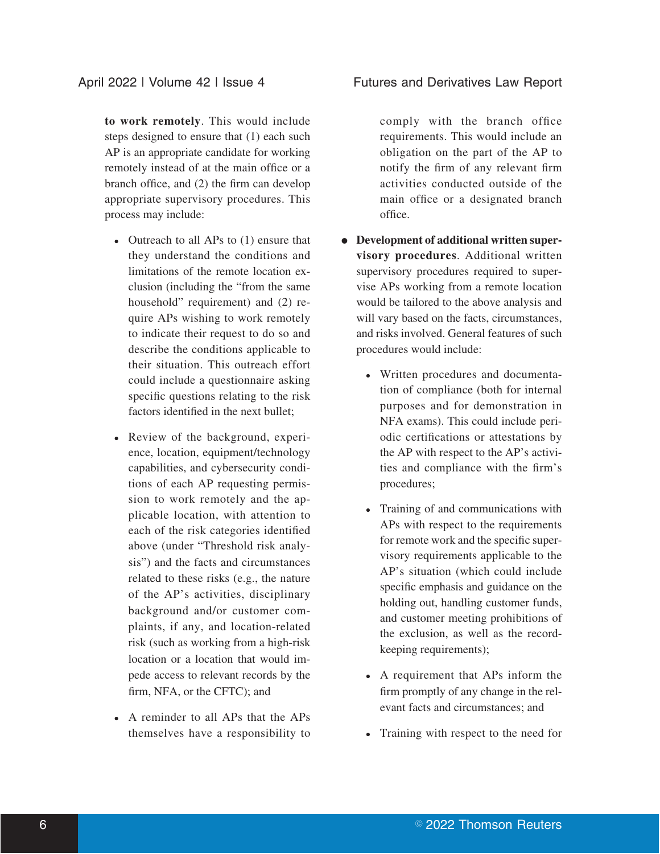**to work remotely**. This would include steps designed to ensure that (1) each such AP is an appropriate candidate for working remotely instead of at the main office or a branch office, and (2) the firm can develop appropriate supervisory procedures. This process may include:

- Outreach to all APs to (1) ensure that they understand the conditions and limitations of the remote location exclusion (including the "from the same household" requirement) and (2) require APs wishing to work remotely to indicate their request to do so and describe the conditions applicable to their situation. This outreach effort could include a questionnaire asking specific questions relating to the risk factors identified in the next bullet;
- Review of the background, experience, location, equipment/technology capabilities, and cybersecurity conditions of each AP requesting permission to work remotely and the applicable location, with attention to each of the risk categories identified above (under "Threshold risk analysis") and the facts and circumstances related to these risks (e.g., the nature of the AP's activities, disciplinary background and/or customer complaints, if any, and location-related risk (such as working from a high-risk location or a location that would impede access to relevant records by the firm, NFA, or the CFTC); and
- A reminder to all APs that the APs themselves have a responsibility to

## April 2022 | Volume 42 | Issue 4 Futures and Derivatives Law Report

comply with the branch office requirements. This would include an obligation on the part of the AP to notify the firm of any relevant firm activities conducted outside of the main office or a designated branch office.

- Development of additional written super**visory procedures**. Additional written supervisory procedures required to supervise APs working from a remote location would be tailored to the above analysis and will vary based on the facts, circumstances, and risks involved. General features of such procedures would include:
	- Written procedures and documentation of compliance (both for internal purposes and for demonstration in NFA exams). This could include periodic certifications or attestations by the AP with respect to the AP's activities and compliance with the firm's procedures;
	- Training of and communications with APs with respect to the requirements for remote work and the specific supervisory requirements applicable to the AP's situation (which could include specific emphasis and guidance on the holding out, handling customer funds, and customer meeting prohibitions of the exclusion, as well as the recordkeeping requirements);
	- A requirement that APs inform the firm promptly of any change in the relevant facts and circumstances; and
	- Training with respect to the need for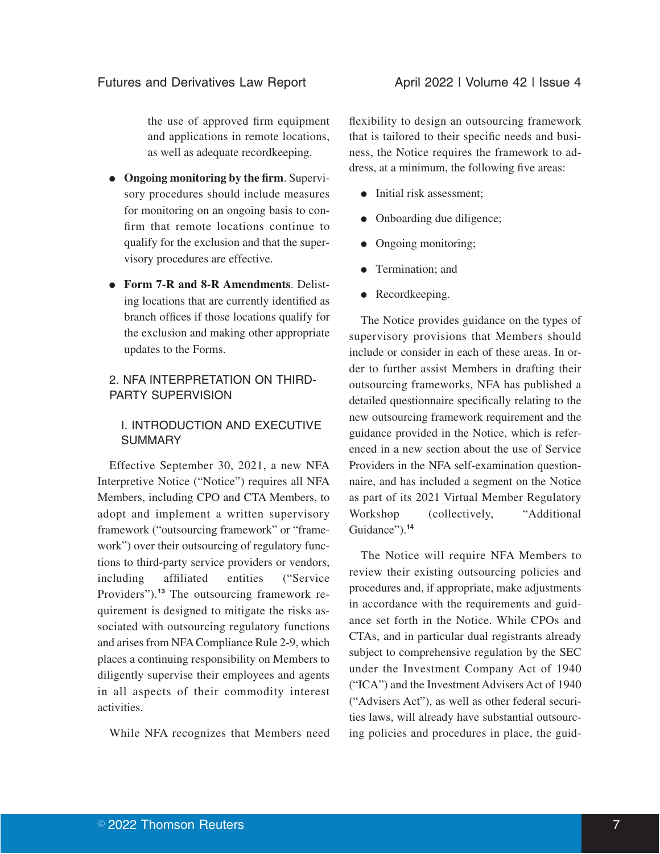the use of approved firm equipment and applications in remote locations, as well as adequate recordkeeping.

- E **Ongoing monitoring by the firm**. Supervisory procedures should include measures for monitoring on an ongoing basis to confirm that remote locations continue to qualify for the exclusion and that the supervisory procedures are effective.
- Form 7-R and 8-R Amendments. Delisting locations that are currently identified as branch offices if those locations qualify for the exclusion and making other appropriate updates to the Forms.

## 2. NFA INTERPRETATION ON THIRD-PARTY SUPERVISION

## I. INTRODUCTION AND EXECUTIVE SUMMARY

Effective September 30, 2021, a new NFA Interpretive Notice ("Notice") requires all NFA Members, including CPO and CTA Members, to adopt and implement a written supervisory framework ("outsourcing framework" or "framework") over their outsourcing of regulatory functions to third-party service providers or vendors, including affiliated entities ("Service Providers").**<sup>13</sup>** The outsourcing framework requirement is designed to mitigate the risks associated with outsourcing regulatory functions and arises from NFA Compliance Rule 2-9, which places a continuing responsibility on Members to diligently supervise their employees and agents in all aspects of their commodity interest activities.

While NFA recognizes that Members need

flexibility to design an outsourcing framework that is tailored to their specific needs and business, the Notice requires the framework to address, at a minimum, the following five areas:

- Initial risk assessment;
- Onboarding due diligence;
- Ongoing monitoring;
- Termination: and
- Recordkeeping.

The Notice provides guidance on the types of supervisory provisions that Members should include or consider in each of these areas. In order to further assist Members in drafting their outsourcing frameworks, NFA has published a detailed questionnaire specifically relating to the new outsourcing framework requirement and the guidance provided in the Notice, which is referenced in a new section about the use of Service Providers in the NFA self-examination questionnaire, and has included a segment on the Notice as part of its 2021 Virtual Member Regulatory Workshop (collectively, "Additional Guidance").**<sup>14</sup>**

The Notice will require NFA Members to review their existing outsourcing policies and procedures and, if appropriate, make adjustments in accordance with the requirements and guidance set forth in the Notice. While CPOs and CTAs, and in particular dual registrants already subject to comprehensive regulation by the SEC under the Investment Company Act of 1940 ("ICA") and the Investment Advisers Act of 1940 ("Advisers Act"), as well as other federal securities laws, will already have substantial outsourcing policies and procedures in place, the guid-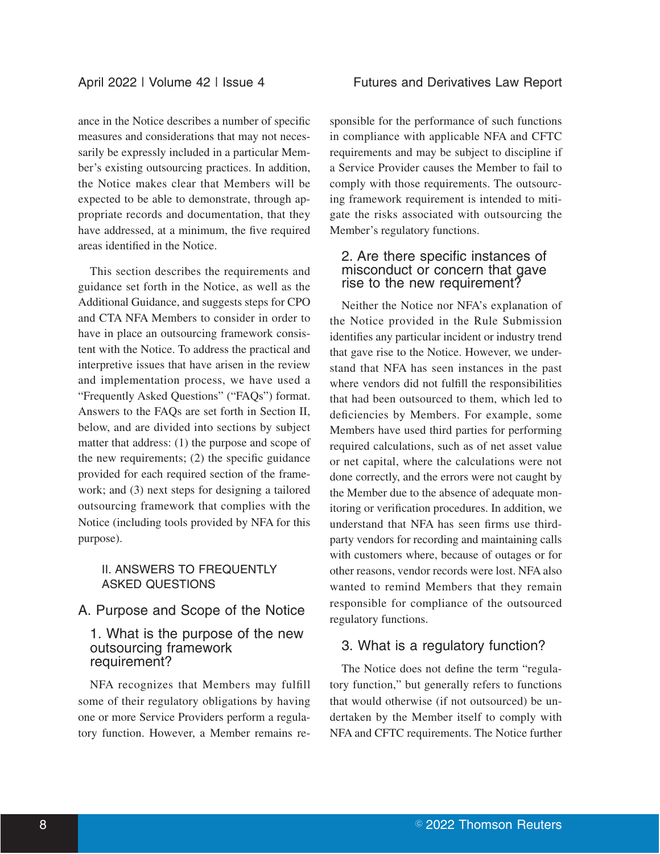ance in the Notice describes a number of specific measures and considerations that may not necessarily be expressly included in a particular Member's existing outsourcing practices. In addition, the Notice makes clear that Members will be expected to be able to demonstrate, through appropriate records and documentation, that they have addressed, at a minimum, the five required areas identified in the Notice.

This section describes the requirements and guidance set forth in the Notice, as well as the Additional Guidance, and suggests steps for CPO and CTA NFA Members to consider in order to have in place an outsourcing framework consistent with the Notice. To address the practical and interpretive issues that have arisen in the review and implementation process, we have used a "Frequently Asked Questions" ("FAQs") format. Answers to the FAQs are set forth in Section II, below, and are divided into sections by subject matter that address: (1) the purpose and scope of the new requirements; (2) the specific guidance provided for each required section of the framework; and (3) next steps for designing a tailored outsourcing framework that complies with the Notice (including tools provided by NFA for this purpose).

## II. ANSWERS TO FREQUENTLY ASKED QUESTIONS

## A. Purpose and Scope of the Notice

#### 1. What is the purpose of the new outsourcing framework requirement?

NFA recognizes that Members may fulfill some of their regulatory obligations by having one or more Service Providers perform a regulatory function. However, a Member remains re-

sponsible for the performance of such functions in compliance with applicable NFA and CFTC requirements and may be subject to discipline if a Service Provider causes the Member to fail to comply with those requirements. The outsourcing framework requirement is intended to mitigate the risks associated with outsourcing the Member's regulatory functions.

#### 2. Are there specific instances of misconduct or concern that gave rise to the new requirement?

Neither the Notice nor NFA's explanation of the Notice provided in the Rule Submission identifies any particular incident or industry trend that gave rise to the Notice. However, we understand that NFA has seen instances in the past where vendors did not fulfill the responsibilities that had been outsourced to them, which led to deficiencies by Members. For example, some Members have used third parties for performing required calculations, such as of net asset value or net capital, where the calculations were not done correctly, and the errors were not caught by the Member due to the absence of adequate monitoring or verification procedures. In addition, we understand that NFA has seen firms use thirdparty vendors for recording and maintaining calls with customers where, because of outages or for other reasons, vendor records were lost. NFA also wanted to remind Members that they remain responsible for compliance of the outsourced regulatory functions.

## 3. What is a regulatory function?

The Notice does not define the term "regulatory function," but generally refers to functions that would otherwise (if not outsourced) be undertaken by the Member itself to comply with NFA and CFTC requirements. The Notice further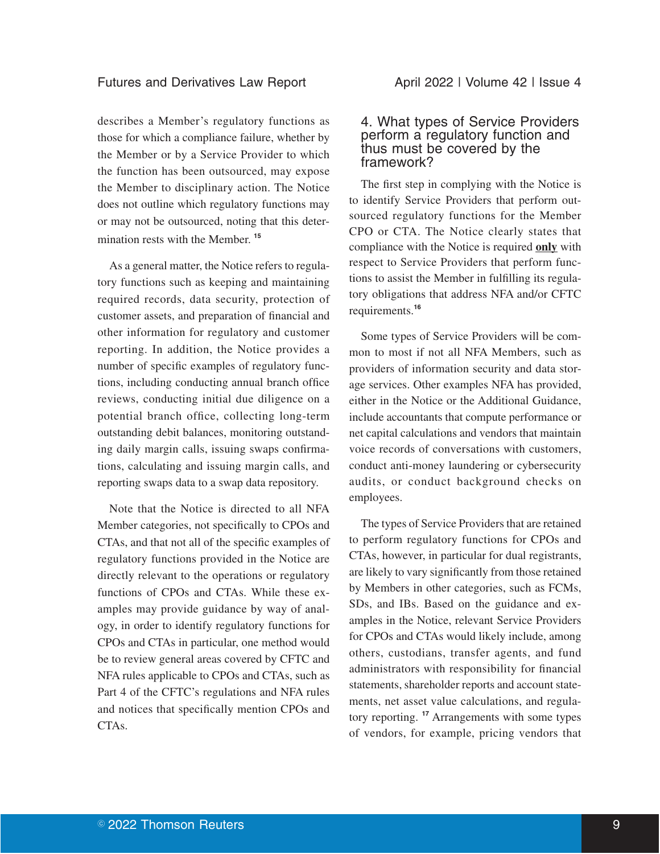#### Futures and Derivatives Law Report **April 2022 | Volume 42 | Issue 4**

describes a Member's regulatory functions as those for which a compliance failure, whether by the Member or by a Service Provider to which the function has been outsourced, may expose the Member to disciplinary action. The Notice does not outline which regulatory functions may or may not be outsourced, noting that this determination rests with the Member. **<sup>15</sup>**

As a general matter, the Notice refers to regulatory functions such as keeping and maintaining required records, data security, protection of customer assets, and preparation of financial and other information for regulatory and customer reporting. In addition, the Notice provides a number of specific examples of regulatory functions, including conducting annual branch office reviews, conducting initial due diligence on a potential branch office, collecting long-term outstanding debit balances, monitoring outstanding daily margin calls, issuing swaps confirmations, calculating and issuing margin calls, and reporting swaps data to a swap data repository.

Note that the Notice is directed to all NFA Member categories, not specifically to CPOs and CTAs, and that not all of the specific examples of regulatory functions provided in the Notice are directly relevant to the operations or regulatory functions of CPOs and CTAs. While these examples may provide guidance by way of analogy, in order to identify regulatory functions for CPOs and CTAs in particular, one method would be to review general areas covered by CFTC and NFA rules applicable to CPOs and CTAs, such as Part 4 of the CFTC's regulations and NFA rules and notices that specifically mention CPOs and CTAs.

#### 4. What types of Service Providers perform a regulatory function and thus must be covered by the framework?

The first step in complying with the Notice is to identify Service Providers that perform outsourced regulatory functions for the Member CPO or CTA. The Notice clearly states that compliance with the Notice is required **only** with respect to Service Providers that perform functions to assist the Member in fulfilling its regulatory obligations that address NFA and/or CFTC requirements.**<sup>16</sup>**

Some types of Service Providers will be common to most if not all NFA Members, such as providers of information security and data storage services. Other examples NFA has provided, either in the Notice or the Additional Guidance, include accountants that compute performance or net capital calculations and vendors that maintain voice records of conversations with customers, conduct anti-money laundering or cybersecurity audits, or conduct background checks on employees.

The types of Service Providers that are retained to perform regulatory functions for CPOs and CTAs, however, in particular for dual registrants, are likely to vary significantly from those retained by Members in other categories, such as FCMs, SDs, and IBs. Based on the guidance and examples in the Notice, relevant Service Providers for CPOs and CTAs would likely include, among others, custodians, transfer agents, and fund administrators with responsibility for financial statements, shareholder reports and account statements, net asset value calculations, and regulatory reporting. **<sup>17</sup>** Arrangements with some types of vendors, for example, pricing vendors that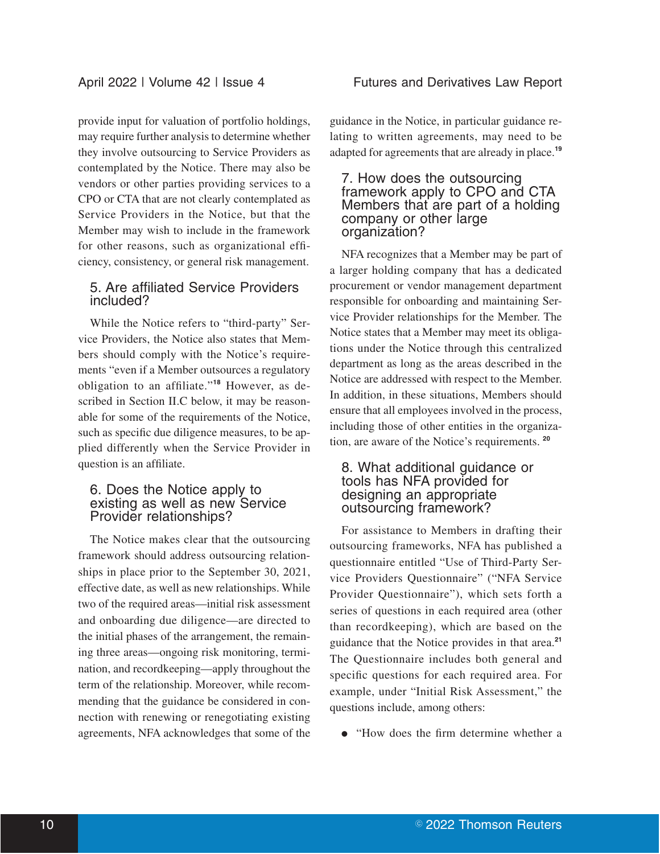provide input for valuation of portfolio holdings, may require further analysis to determine whether they involve outsourcing to Service Providers as contemplated by the Notice. There may also be vendors or other parties providing services to a CPO or CTA that are not clearly contemplated as Service Providers in the Notice, but that the Member may wish to include in the framework for other reasons, such as organizational efficiency, consistency, or general risk management.

## 5. Are affiliated Service Providers included?

While the Notice refers to "third-party" Service Providers, the Notice also states that Members should comply with the Notice's requirements "even if a Member outsources a regulatory obligation to an affiliate."**<sup>18</sup>** However, as described in Section II.C below, it may be reasonable for some of the requirements of the Notice, such as specific due diligence measures, to be applied differently when the Service Provider in question is an affiliate.

#### 6. Does the Notice apply to existing as well as new Service Provider relationships?

The Notice makes clear that the outsourcing framework should address outsourcing relationships in place prior to the September 30, 2021, effective date, as well as new relationships. While two of the required areas—initial risk assessment and onboarding due diligence—are directed to the initial phases of the arrangement, the remaining three areas—ongoing risk monitoring, termination, and recordkeeping—apply throughout the term of the relationship. Moreover, while recommending that the guidance be considered in connection with renewing or renegotiating existing agreements, NFA acknowledges that some of the guidance in the Notice, in particular guidance relating to written agreements, may need to be adapted for agreements that are already in place.**<sup>19</sup>**

#### 7. How does the outsourcing framework apply to CPO and CTA Members that are part of a holding company or other large organization?

NFA recognizes that a Member may be part of a larger holding company that has a dedicated procurement or vendor management department responsible for onboarding and maintaining Service Provider relationships for the Member. The Notice states that a Member may meet its obligations under the Notice through this centralized department as long as the areas described in the Notice are addressed with respect to the Member. In addition, in these situations, Members should ensure that all employees involved in the process, including those of other entities in the organization, are aware of the Notice's requirements. **<sup>20</sup>**

#### 8. What additional guidance or tools has NFA provided for designing an appropriate outsourcing framework?

For assistance to Members in drafting their outsourcing frameworks, NFA has published a questionnaire entitled "Use of Third-Party Service Providers Questionnaire" ("NFA Service Provider Questionnaire"), which sets forth a series of questions in each required area (other than recordkeeping), which are based on the guidance that the Notice provides in that area.**<sup>21</sup>** The Questionnaire includes both general and specific questions for each required area. For example, under "Initial Risk Assessment," the questions include, among others:

• "How does the firm determine whether a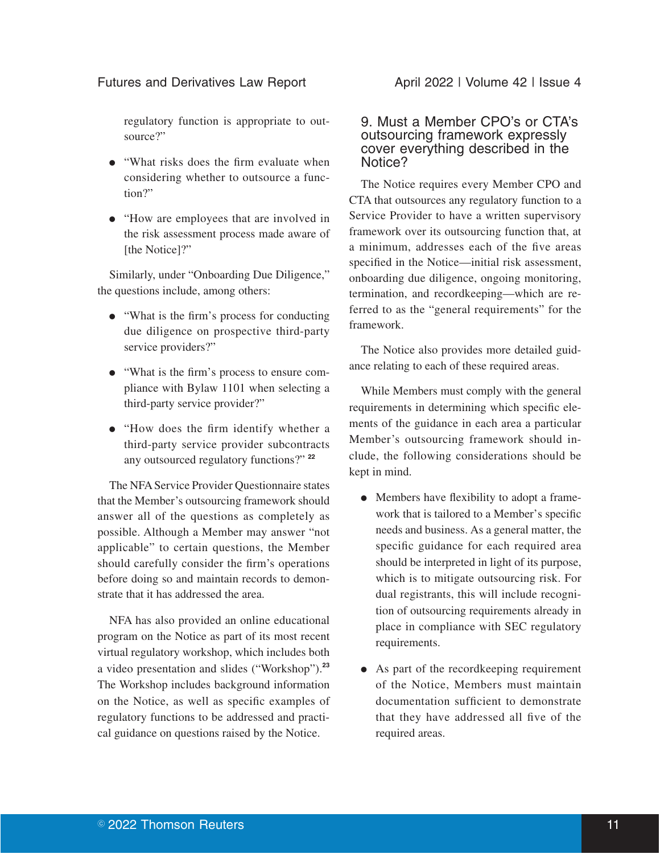regulatory function is appropriate to outsource?"

- "What risks does the firm evaluate when considering whether to outsource a function?"
- E "How are employees that are involved in the risk assessment process made aware of [the Notice]?"

Similarly, under "Onboarding Due Diligence," the questions include, among others:

- E "What is the firm's process for conducting due diligence on prospective third-party service providers?"
- E "What is the firm's process to ensure compliance with Bylaw 1101 when selecting a third-party service provider?"
- "How does the firm identify whether a third-party service provider subcontracts any outsourced regulatory functions?" **<sup>22</sup>**

The NFA Service Provider Questionnaire states that the Member's outsourcing framework should answer all of the questions as completely as possible. Although a Member may answer "not applicable" to certain questions, the Member should carefully consider the firm's operations before doing so and maintain records to demonstrate that it has addressed the area.

NFA has also provided an online educational program on the Notice as part of its most recent virtual regulatory workshop, which includes both a video presentation and slides ("Workshop").**<sup>23</sup>** The Workshop includes background information on the Notice, as well as specific examples of regulatory functions to be addressed and practical guidance on questions raised by the Notice.

#### 9. Must a Member CPO's or CTA's outsourcing framework expressly cover everything described in the Notice?

The Notice requires every Member CPO and CTA that outsources any regulatory function to a Service Provider to have a written supervisory framework over its outsourcing function that, at a minimum, addresses each of the five areas specified in the Notice—initial risk assessment, onboarding due diligence, ongoing monitoring, termination, and recordkeeping—which are referred to as the "general requirements" for the framework.

The Notice also provides more detailed guidance relating to each of these required areas.

While Members must comply with the general requirements in determining which specific elements of the guidance in each area a particular Member's outsourcing framework should include, the following considerations should be kept in mind.

- Members have flexibility to adopt a framework that is tailored to a Member's specific needs and business. As a general matter, the specific guidance for each required area should be interpreted in light of its purpose, which is to mitigate outsourcing risk. For dual registrants, this will include recognition of outsourcing requirements already in place in compliance with SEC regulatory requirements.
- As part of the recordkeeping requirement of the Notice, Members must maintain documentation sufficient to demonstrate that they have addressed all five of the required areas.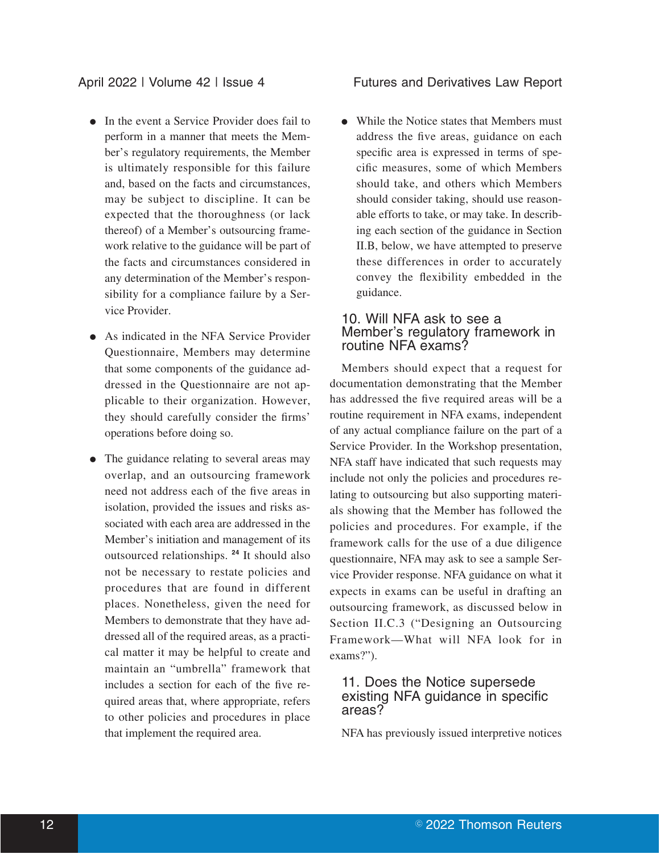#### April 2022 | Volume 42 | Issue 4 Futures and Derivatives Law Report

- In the event a Service Provider does fail to perform in a manner that meets the Member's regulatory requirements, the Member is ultimately responsible for this failure and, based on the facts and circumstances, may be subject to discipline. It can be expected that the thoroughness (or lack thereof) of a Member's outsourcing framework relative to the guidance will be part of the facts and circumstances considered in any determination of the Member's responsibility for a compliance failure by a Service Provider.
- As indicated in the NFA Service Provider Questionnaire, Members may determine that some components of the guidance addressed in the Questionnaire are not applicable to their organization. However, they should carefully consider the firms' operations before doing so.
- The guidance relating to several areas may overlap, and an outsourcing framework need not address each of the five areas in isolation, provided the issues and risks associated with each area are addressed in the Member's initiation and management of its outsourced relationships. **<sup>24</sup>** It should also not be necessary to restate policies and procedures that are found in different places. Nonetheless, given the need for Members to demonstrate that they have addressed all of the required areas, as a practical matter it may be helpful to create and maintain an "umbrella" framework that includes a section for each of the five required areas that, where appropriate, refers to other policies and procedures in place that implement the required area.

• While the Notice states that Members must address the five areas, guidance on each specific area is expressed in terms of specific measures, some of which Members should take, and others which Members should consider taking, should use reasonable efforts to take, or may take. In describing each section of the guidance in Section II.B, below, we have attempted to preserve these differences in order to accurately convey the flexibility embedded in the guidance.

#### 10. Will NFA ask to see a Member's regulatory framework in routine NFA exams?

Members should expect that a request for documentation demonstrating that the Member has addressed the five required areas will be a routine requirement in NFA exams, independent of any actual compliance failure on the part of a Service Provider. In the Workshop presentation, NFA staff have indicated that such requests may include not only the policies and procedures relating to outsourcing but also supporting materials showing that the Member has followed the policies and procedures. For example, if the framework calls for the use of a due diligence questionnaire, NFA may ask to see a sample Service Provider response. NFA guidance on what it expects in exams can be useful in drafting an outsourcing framework, as discussed below in Section II.C.3 ("Designing an Outsourcing Framework—What will NFA look for in exams?").

#### 11. Does the Notice supersede existing NFA guidance in specific areas?

NFA has previously issued interpretive notices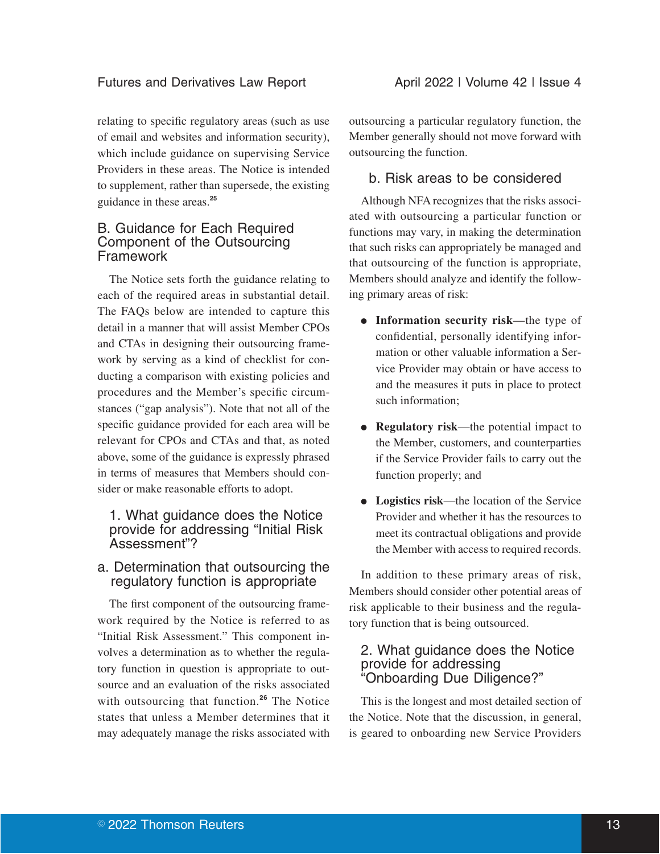relating to specific regulatory areas (such as use of email and websites and information security), which include guidance on supervising Service Providers in these areas. The Notice is intended to supplement, rather than supersede, the existing guidance in these areas.**<sup>25</sup>**

## B. Guidance for Each Required Component of the Outsourcing Framework

The Notice sets forth the guidance relating to each of the required areas in substantial detail. The FAQs below are intended to capture this detail in a manner that will assist Member CPOs and CTAs in designing their outsourcing framework by serving as a kind of checklist for conducting a comparison with existing policies and procedures and the Member's specific circumstances ("gap analysis"). Note that not all of the specific guidance provided for each area will be relevant for CPOs and CTAs and that, as noted above, some of the guidance is expressly phrased in terms of measures that Members should consider or make reasonable efforts to adopt.

## 1. What guidance does the Notice provide for addressing "Initial Risk Assessment"?

## a. Determination that outsourcing the regulatory function is appropriate

The first component of the outsourcing framework required by the Notice is referred to as "Initial Risk Assessment." This component involves a determination as to whether the regulatory function in question is appropriate to outsource and an evaluation of the risks associated with outsourcing that function.**<sup>26</sup>** The Notice states that unless a Member determines that it may adequately manage the risks associated with outsourcing a particular regulatory function, the Member generally should not move forward with outsourcing the function.

## b. Risk areas to be considered

Although NFA recognizes that the risks associated with outsourcing a particular function or functions may vary, in making the determination that such risks can appropriately be managed and that outsourcing of the function is appropriate, Members should analyze and identify the following primary areas of risk:

- Information security risk—the type of confidential, personally identifying information or other valuable information a Service Provider may obtain or have access to and the measures it puts in place to protect such information;
- **Regulatory risk—the potential impact to** the Member, customers, and counterparties if the Service Provider fails to carry out the function properly; and
- Logistics risk—the location of the Service Provider and whether it has the resources to meet its contractual obligations and provide the Member with access to required records.

In addition to these primary areas of risk, Members should consider other potential areas of risk applicable to their business and the regulatory function that is being outsourced.

## 2. What guidance does the Notice provide for addressing "Onboarding Due Diligence?"

This is the longest and most detailed section of the Notice. Note that the discussion, in general, is geared to onboarding new Service Providers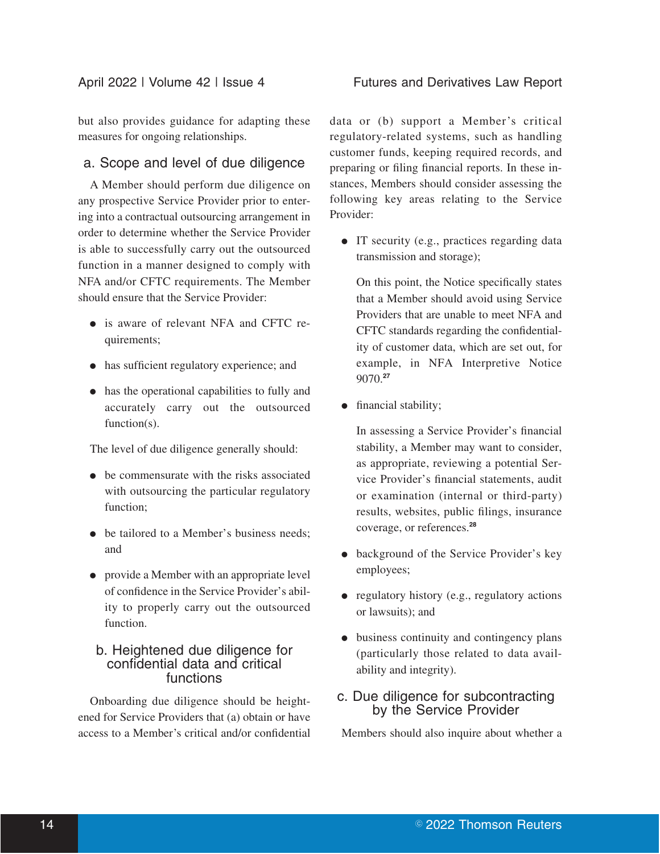but also provides guidance for adapting these measures for ongoing relationships.

## a. Scope and level of due diligence

A Member should perform due diligence on any prospective Service Provider prior to entering into a contractual outsourcing arrangement in order to determine whether the Service Provider is able to successfully carry out the outsourced function in a manner designed to comply with NFA and/or CFTC requirements. The Member should ensure that the Service Provider:

- is aware of relevant NFA and CFTC requirements;
- has sufficient regulatory experience; and
- has the operational capabilities to fully and accurately carry out the outsourced function(s).

The level of due diligence generally should:

- be commensurate with the risks associated with outsourcing the particular regulatory function;
- be tailored to a Member's business needs: and
- provide a Member with an appropriate level of confidence in the Service Provider's ability to properly carry out the outsourced function.

#### b. Heightened due diligence for confidential data and critical functions

Onboarding due diligence should be heightened for Service Providers that (a) obtain or have access to a Member's critical and/or confidential data or (b) support a Member's critical regulatory-related systems, such as handling customer funds, keeping required records, and preparing or filing financial reports. In these instances, Members should consider assessing the following key areas relating to the Service Provider:

• IT security (e.g., practices regarding data transmission and storage);

On this point, the Notice specifically states that a Member should avoid using Service Providers that are unable to meet NFA and CFTC standards regarding the confidentiality of customer data, which are set out, for example, in NFA Interpretive Notice 9070.**<sup>27</sup>**

• financial stability;

In assessing a Service Provider's financial stability, a Member may want to consider, as appropriate, reviewing a potential Service Provider's financial statements, audit or examination (internal or third-party) results, websites, public filings, insurance coverage, or references.**<sup>28</sup>**

- background of the Service Provider's key employees;
- $\bullet$  regulatory history (e.g., regulatory actions or lawsuits); and
- $\bullet$  business continuity and contingency plans (particularly those related to data availability and integrity).

## c. Due diligence for subcontracting by the Service Provider

Members should also inquire about whether a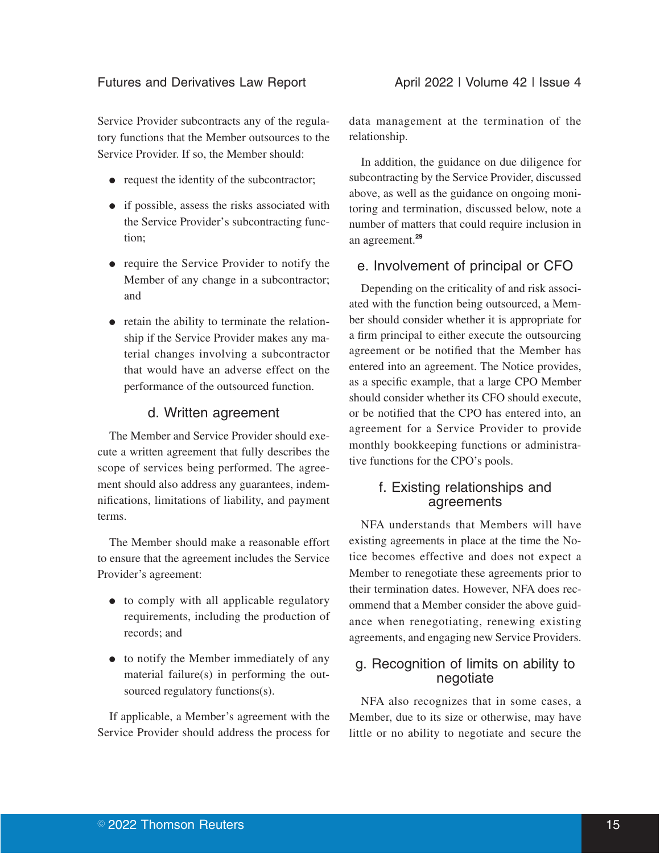Service Provider subcontracts any of the regulatory functions that the Member outsources to the Service Provider. If so, the Member should:

- $\bullet$  request the identity of the subcontractor;
- if possible, assess the risks associated with the Service Provider's subcontracting function;
- require the Service Provider to notify the Member of any change in a subcontractor; and
- retain the ability to terminate the relationship if the Service Provider makes any material changes involving a subcontractor that would have an adverse effect on the performance of the outsourced function.

## d. Written agreement

The Member and Service Provider should execute a written agreement that fully describes the scope of services being performed. The agreement should also address any guarantees, indemnifications, limitations of liability, and payment terms.

The Member should make a reasonable effort to ensure that the agreement includes the Service Provider's agreement:

- to comply with all applicable regulatory requirements, including the production of records; and
- to notify the Member immediately of any material failure(s) in performing the outsourced regulatory functions(s).

If applicable, a Member's agreement with the Service Provider should address the process for

data management at the termination of the relationship.

In addition, the guidance on due diligence for subcontracting by the Service Provider, discussed above, as well as the guidance on ongoing monitoring and termination, discussed below, note a number of matters that could require inclusion in an agreement.**<sup>29</sup>**

## e. Involvement of principal or CFO

Depending on the criticality of and risk associated with the function being outsourced, a Member should consider whether it is appropriate for a firm principal to either execute the outsourcing agreement or be notified that the Member has entered into an agreement. The Notice provides, as a specific example, that a large CPO Member should consider whether its CFO should execute, or be notified that the CPO has entered into, an agreement for a Service Provider to provide monthly bookkeeping functions or administrative functions for the CPO's pools.

## f. Existing relationships and agreements

NFA understands that Members will have existing agreements in place at the time the Notice becomes effective and does not expect a Member to renegotiate these agreements prior to their termination dates. However, NFA does recommend that a Member consider the above guidance when renegotiating, renewing existing agreements, and engaging new Service Providers.

## g. Recognition of limits on ability to negotiate

NFA also recognizes that in some cases, a Member, due to its size or otherwise, may have little or no ability to negotiate and secure the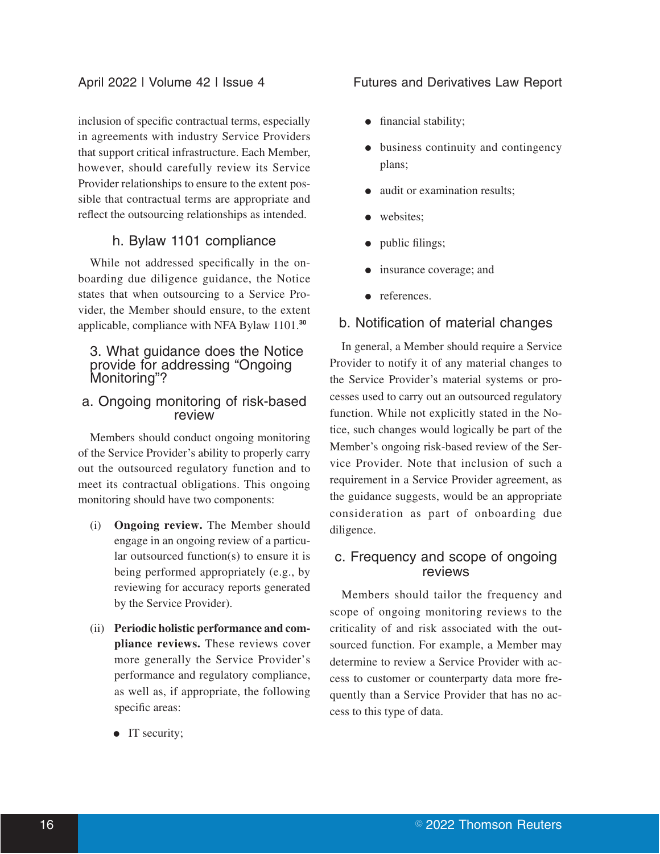inclusion of specific contractual terms, especially in agreements with industry Service Providers that support critical infrastructure. Each Member, however, should carefully review its Service Provider relationships to ensure to the extent possible that contractual terms are appropriate and reflect the outsourcing relationships as intended.

### h. Bylaw 1101 compliance

While not addressed specifically in the onboarding due diligence guidance, the Notice states that when outsourcing to a Service Provider, the Member should ensure, to the extent applicable, compliance with NFA Bylaw 1101.**<sup>30</sup>**

#### 3. What guidance does the Notice provide for addressing "Ongoing Monitoring"?

#### a. Ongoing monitoring of risk-based review

Members should conduct ongoing monitoring of the Service Provider's ability to properly carry out the outsourced regulatory function and to meet its contractual obligations. This ongoing monitoring should have two components:

- (i) **Ongoing review.** The Member should engage in an ongoing review of a particular outsourced function(s) to ensure it is being performed appropriately (e.g., by reviewing for accuracy reports generated by the Service Provider).
- (ii) **Periodic holistic performance and compliance reviews.** These reviews cover more generally the Service Provider's performance and regulatory compliance, as well as, if appropriate, the following specific areas:
	- $\bullet$  IT security;

#### April 2022 | Volume 42 | Issue 4 Futures and Derivatives Law Report

- financial stability;
- business continuity and contingency plans;
- audit or examination results;
- websites:
- public filings;
- insurance coverage; and
- references.

## b. Notification of material changes

In general, a Member should require a Service Provider to notify it of any material changes to the Service Provider's material systems or processes used to carry out an outsourced regulatory function. While not explicitly stated in the Notice, such changes would logically be part of the Member's ongoing risk-based review of the Service Provider. Note that inclusion of such a requirement in a Service Provider agreement, as the guidance suggests, would be an appropriate consideration as part of onboarding due diligence.

## c. Frequency and scope of ongoing reviews

Members should tailor the frequency and scope of ongoing monitoring reviews to the criticality of and risk associated with the outsourced function. For example, a Member may determine to review a Service Provider with access to customer or counterparty data more frequently than a Service Provider that has no access to this type of data.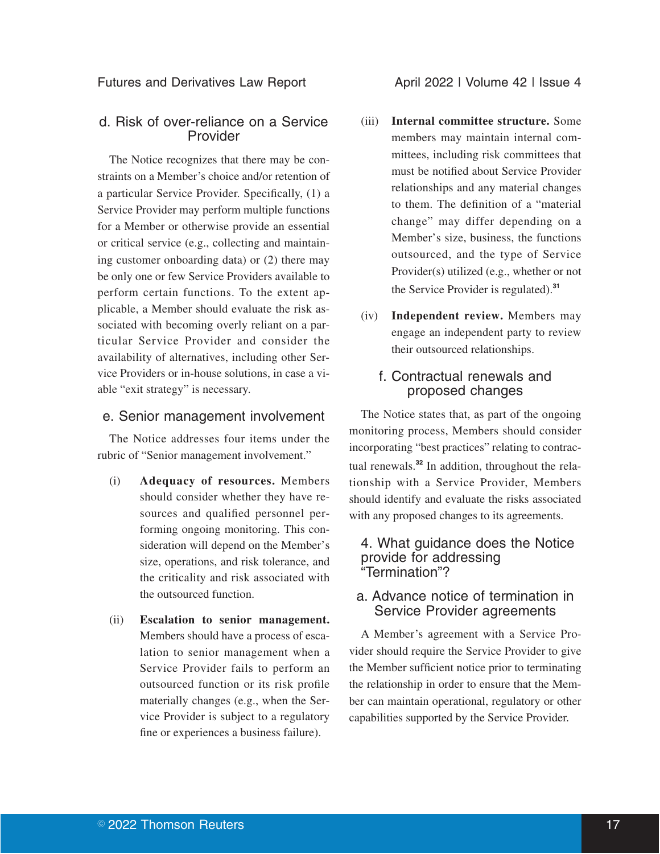(ii) **Escalation to senior management.** Members should have a process of escalation to senior management when a Service Provider fails to perform an outsourced function or its risk profile materially changes (e.g., when the Service Provider is subject to a regulatory fine or experiences a business failure).

#### e. Senior management involvement

The Notice addresses four items under the rubric of "Senior management involvement."

able "exit strategy" is necessary.

(i) **Adequacy of resources.** Members

should consider whether they have resources and qualified personnel performing ongoing monitoring. This consideration will depend on the Member's size, operations, and risk tolerance, and the criticality and risk associated with the outsourced function.

d. Risk of over-reliance on a Service Provider

The Notice recognizes that there may be constraints on a Member's choice and/or retention of a particular Service Provider. Specifically, (1) a Service Provider may perform multiple functions for a Member or otherwise provide an essential or critical service (e.g., collecting and maintaining customer onboarding data) or (2) there may be only one or few Service Providers available to perform certain functions. To the extent applicable, a Member should evaluate the risk associated with becoming overly reliant on a particular Service Provider and consider the availability of alternatives, including other Service Providers or in-house solutions, in case a vi-

#### Futures and Derivatives Law Report **April 2022 | Volume 42 | Issue 4**

- (iii) **Internal committee structure.** Some members may maintain internal committees, including risk committees that must be notified about Service Provider relationships and any material changes to them. The definition of a "material change" may differ depending on a Member's size, business, the functions outsourced, and the type of Service Provider(s) utilized (e.g., whether or not the Service Provider is regulated).**<sup>31</sup>**
- (iv) **Independent review.** Members may engage an independent party to review their outsourced relationships.

## f. Contractual renewals and proposed changes

The Notice states that, as part of the ongoing monitoring process, Members should consider incorporating "best practices" relating to contractual renewals.**<sup>32</sup>** In addition, throughout the relationship with a Service Provider, Members should identify and evaluate the risks associated with any proposed changes to its agreements.

#### 4. What guidance does the Notice provide for addressing "Termination"?

#### a. Advance notice of termination in Service Provider agreements

A Member's agreement with a Service Provider should require the Service Provider to give the Member sufficient notice prior to terminating the relationship in order to ensure that the Member can maintain operational, regulatory or other capabilities supported by the Service Provider.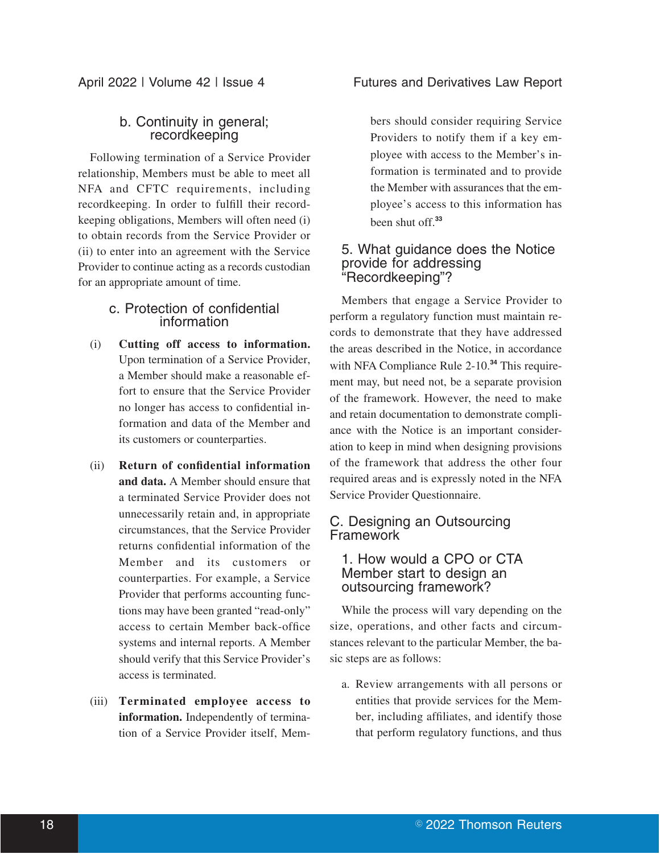## b. Continuity in general; recordkeeping

Following termination of a Service Provider relationship, Members must be able to meet all NFA and CFTC requirements, including recordkeeping. In order to fulfill their recordkeeping obligations, Members will often need (i) to obtain records from the Service Provider or (ii) to enter into an agreement with the Service Provider to continue acting as a records custodian for an appropriate amount of time.

### c. Protection of confidential information

- (i) **Cutting off access to information.** Upon termination of a Service Provider, a Member should make a reasonable effort to ensure that the Service Provider no longer has access to confidential information and data of the Member and its customers or counterparties.
- (ii) **Return of confidential information and data.** A Member should ensure that a terminated Service Provider does not unnecessarily retain and, in appropriate circumstances, that the Service Provider returns confidential information of the Member and its customers or counterparties. For example, a Service Provider that performs accounting functions may have been granted "read-only" access to certain Member back-office systems and internal reports. A Member should verify that this Service Provider's access is terminated.
- (iii) **Terminated employee access to information.** Independently of termination of a Service Provider itself, Mem-

## April 2022 | Volume 42 | Issue 4 Futures and Derivatives Law Report

bers should consider requiring Service Providers to notify them if a key employee with access to the Member's information is terminated and to provide the Member with assurances that the employee's access to this information has been shut off.**<sup>33</sup>**

#### 5. What guidance does the Notice provide for addressing "Recordkeeping"?

Members that engage a Service Provider to perform a regulatory function must maintain records to demonstrate that they have addressed the areas described in the Notice, in accordance with NFA Compliance Rule 2-10.**<sup>34</sup>** This requirement may, but need not, be a separate provision of the framework. However, the need to make and retain documentation to demonstrate compliance with the Notice is an important consideration to keep in mind when designing provisions of the framework that address the other four required areas and is expressly noted in the NFA Service Provider Questionnaire.

## C. Designing an Outsourcing Framework

## 1. How would a CPO or CTA Member start to design an outsourcing framework?

While the process will vary depending on the size, operations, and other facts and circumstances relevant to the particular Member, the basic steps are as follows:

a. Review arrangements with all persons or entities that provide services for the Member, including affiliates, and identify those that perform regulatory functions, and thus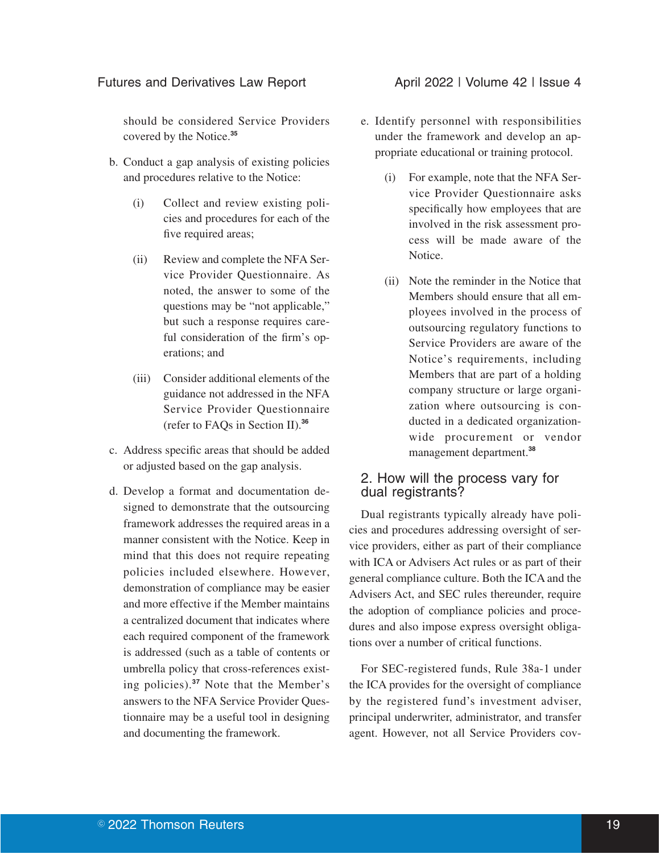#### Futures and Derivatives Law Report **April 2022 | Volume 42 | Issue 4**

should be considered Service Providers covered by the Notice.**<sup>35</sup>**

- b. Conduct a gap analysis of existing policies and procedures relative to the Notice:
	- (i) Collect and review existing policies and procedures for each of the five required areas;
	- (ii) Review and complete the NFA Service Provider Questionnaire. As noted, the answer to some of the questions may be "not applicable," but such a response requires careful consideration of the firm's operations; and
	- (iii) Consider additional elements of the guidance not addressed in the NFA Service Provider Questionnaire (refer to FAQs in Section II).**<sup>36</sup>**
- c. Address specific areas that should be added or adjusted based on the gap analysis.
- d. Develop a format and documentation designed to demonstrate that the outsourcing framework addresses the required areas in a manner consistent with the Notice. Keep in mind that this does not require repeating policies included elsewhere. However, demonstration of compliance may be easier and more effective if the Member maintains a centralized document that indicates where each required component of the framework is addressed (such as a table of contents or umbrella policy that cross-references existing policies).**<sup>37</sup>** Note that the Member's answers to the NFA Service Provider Questionnaire may be a useful tool in designing and documenting the framework.

- e. Identify personnel with responsibilities under the framework and develop an appropriate educational or training protocol.
	- (i) For example, note that the NFA Service Provider Questionnaire asks specifically how employees that are involved in the risk assessment process will be made aware of the Notice.
	- (ii) Note the reminder in the Notice that Members should ensure that all employees involved in the process of outsourcing regulatory functions to Service Providers are aware of the Notice's requirements, including Members that are part of a holding company structure or large organization where outsourcing is conducted in a dedicated organizationwide procurement or vendor management department.**<sup>38</sup>**

### 2. How will the process vary for dual registrants?

Dual registrants typically already have policies and procedures addressing oversight of service providers, either as part of their compliance with ICA or Advisers Act rules or as part of their general compliance culture. Both the ICA and the Advisers Act, and SEC rules thereunder, require the adoption of compliance policies and procedures and also impose express oversight obligations over a number of critical functions.

For SEC-registered funds, Rule 38a-1 under the ICA provides for the oversight of compliance by the registered fund's investment adviser, principal underwriter, administrator, and transfer agent. However, not all Service Providers cov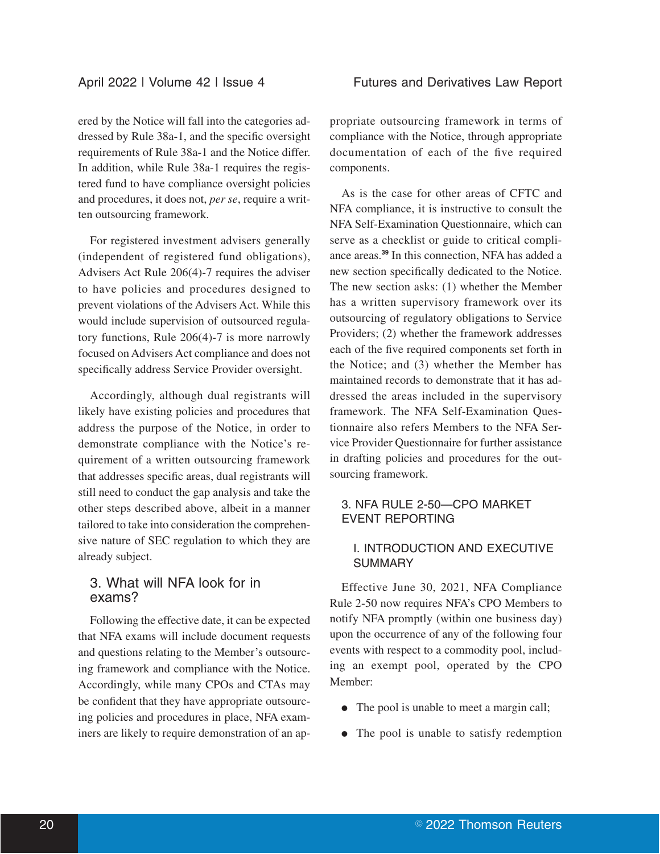ered by the Notice will fall into the categories addressed by Rule 38a-1, and the specific oversight requirements of Rule 38a-1 and the Notice differ. In addition, while Rule 38a-1 requires the registered fund to have compliance oversight policies and procedures, it does not, *per se*, require a written outsourcing framework.

For registered investment advisers generally (independent of registered fund obligations), Advisers Act Rule 206(4)-7 requires the adviser to have policies and procedures designed to prevent violations of the Advisers Act. While this would include supervision of outsourced regulatory functions, Rule 206(4)-7 is more narrowly focused on Advisers Act compliance and does not specifically address Service Provider oversight.

Accordingly, although dual registrants will likely have existing policies and procedures that address the purpose of the Notice, in order to demonstrate compliance with the Notice's requirement of a written outsourcing framework that addresses specific areas, dual registrants will still need to conduct the gap analysis and take the other steps described above, albeit in a manner tailored to take into consideration the comprehensive nature of SEC regulation to which they are already subject.

## 3. What will NFA look for in exams?

Following the effective date, it can be expected that NFA exams will include document requests and questions relating to the Member's outsourcing framework and compliance with the Notice. Accordingly, while many CPOs and CTAs may be confident that they have appropriate outsourcing policies and procedures in place, NFA examiners are likely to require demonstration of an appropriate outsourcing framework in terms of compliance with the Notice, through appropriate documentation of each of the five required components.

As is the case for other areas of CFTC and NFA compliance, it is instructive to consult the NFA Self-Examination Questionnaire, which can serve as a checklist or guide to critical compliance areas.**<sup>39</sup>** In this connection, NFA has added a new section specifically dedicated to the Notice. The new section asks: (1) whether the Member has a written supervisory framework over its outsourcing of regulatory obligations to Service Providers; (2) whether the framework addresses each of the five required components set forth in the Notice; and (3) whether the Member has maintained records to demonstrate that it has addressed the areas included in the supervisory framework. The NFA Self-Examination Questionnaire also refers Members to the NFA Service Provider Questionnaire for further assistance in drafting policies and procedures for the outsourcing framework.

## 3. NFA RULE 2-50—CPO MARKET EVENT REPORTING

#### I. INTRODUCTION AND EXECUTIVE **SUMMARY**

Effective June 30, 2021, NFA Compliance Rule 2-50 now requires NFA's CPO Members to notify NFA promptly (within one business day) upon the occurrence of any of the following four events with respect to a commodity pool, including an exempt pool, operated by the CPO Member:

- The pool is unable to meet a margin call;
- The pool is unable to satisfy redemption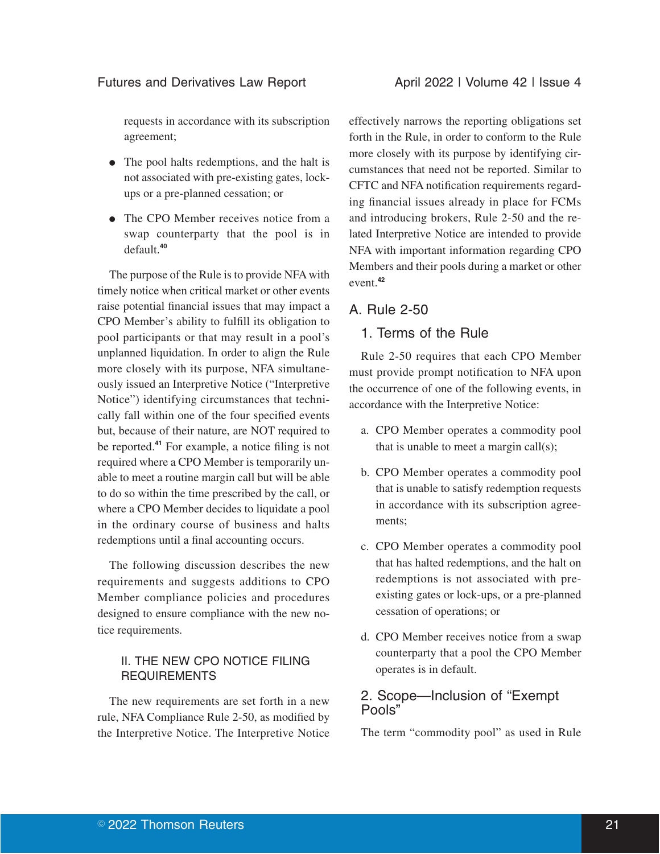requests in accordance with its subscription agreement;

- The pool halts redemptions, and the halt is not associated with pre-existing gates, lockups or a pre-planned cessation; or
- The CPO Member receives notice from a swap counterparty that the pool is in default.**<sup>40</sup>**

The purpose of the Rule is to provide NFA with timely notice when critical market or other events raise potential financial issues that may impact a CPO Member's ability to fulfill its obligation to pool participants or that may result in a pool's unplanned liquidation. In order to align the Rule more closely with its purpose, NFA simultaneously issued an Interpretive Notice ("Interpretive Notice") identifying circumstances that technically fall within one of the four specified events but, because of their nature, are NOT required to be reported.**<sup>41</sup>** For example, a notice filing is not required where a CPO Member is temporarily unable to meet a routine margin call but will be able to do so within the time prescribed by the call, or where a CPO Member decides to liquidate a pool in the ordinary course of business and halts redemptions until a final accounting occurs.

The following discussion describes the new requirements and suggests additions to CPO Member compliance policies and procedures designed to ensure compliance with the new notice requirements.

## II. THE NEW CPO NOTICE FILING **REQUIREMENTS**

The new requirements are set forth in a new rule, NFA Compliance Rule 2-50, as modified by the Interpretive Notice. The Interpretive Notice

effectively narrows the reporting obligations set forth in the Rule, in order to conform to the Rule more closely with its purpose by identifying circumstances that need not be reported. Similar to CFTC and NFA notification requirements regarding financial issues already in place for FCMs and introducing brokers, Rule 2-50 and the related Interpretive Notice are intended to provide NFA with important information regarding CPO Members and their pools during a market or other event.**<sup>42</sup>**

## A. Rule 2-50

## 1. Terms of the Rule

Rule 2-50 requires that each CPO Member must provide prompt notification to NFA upon the occurrence of one of the following events, in accordance with the Interpretive Notice:

- a. CPO Member operates a commodity pool that is unable to meet a margin call $(s)$ ;
- b. CPO Member operates a commodity pool that is unable to satisfy redemption requests in accordance with its subscription agreements;
- c. CPO Member operates a commodity pool that has halted redemptions, and the halt on redemptions is not associated with preexisting gates or lock-ups, or a pre-planned cessation of operations; or
- d. CPO Member receives notice from a swap counterparty that a pool the CPO Member operates is in default.

## 2. Scope—Inclusion of "Exempt Pools"

The term "commodity pool" as used in Rule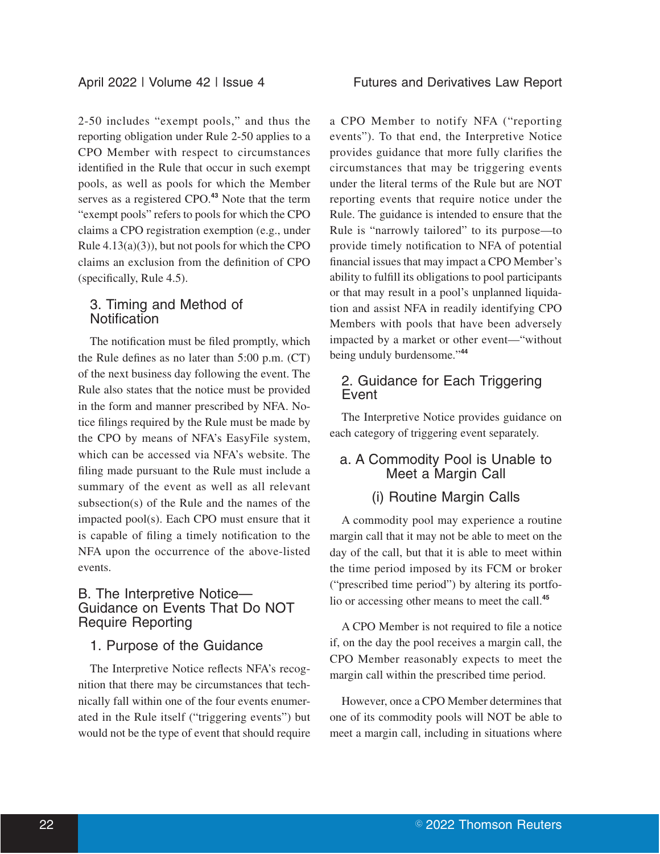2-50 includes "exempt pools," and thus the reporting obligation under Rule 2-50 applies to a CPO Member with respect to circumstances identified in the Rule that occur in such exempt pools, as well as pools for which the Member serves as a registered CPO.**<sup>43</sup>** Note that the term "exempt pools" refers to pools for which the CPO claims a CPO registration exemption (e.g., under Rule  $4.13(a)(3)$ , but not pools for which the CPO claims an exclusion from the definition of CPO (specifically, Rule 4.5).

## 3. Timing and Method of **Notification**

The notification must be filed promptly, which the Rule defines as no later than 5:00 p.m. (CT) of the next business day following the event. The Rule also states that the notice must be provided in the form and manner prescribed by NFA. Notice filings required by the Rule must be made by the CPO by means of NFA's EasyFile system, which can be accessed via NFA's website. The filing made pursuant to the Rule must include a summary of the event as well as all relevant subsection(s) of the Rule and the names of the impacted pool(s). Each CPO must ensure that it is capable of filing a timely notification to the NFA upon the occurrence of the above-listed events.

### B. The Interpretive Notice— Guidance on Events That Do NOT Require Reporting

#### 1. Purpose of the Guidance

The Interpretive Notice reflects NFA's recognition that there may be circumstances that technically fall within one of the four events enumerated in the Rule itself ("triggering events") but would not be the type of event that should require a CPO Member to notify NFA ("reporting events"). To that end, the Interpretive Notice provides guidance that more fully clarifies the circumstances that may be triggering events under the literal terms of the Rule but are NOT reporting events that require notice under the Rule. The guidance is intended to ensure that the Rule is "narrowly tailored" to its purpose—to provide timely notification to NFA of potential financial issues that may impact a CPO Member's ability to fulfill its obligations to pool participants or that may result in a pool's unplanned liquidation and assist NFA in readily identifying CPO Members with pools that have been adversely impacted by a market or other event—"without being unduly burdensome."**<sup>44</sup>**

## 2. Guidance for Each Triggering Event

The Interpretive Notice provides guidance on each category of triggering event separately.

## a. A Commodity Pool is Unable to Meet a Margin Call

## (i) Routine Margin Calls

A commodity pool may experience a routine margin call that it may not be able to meet on the day of the call, but that it is able to meet within the time period imposed by its FCM or broker ("prescribed time period") by altering its portfolio or accessing other means to meet the call.**<sup>45</sup>**

A CPO Member is not required to file a notice if, on the day the pool receives a margin call, the CPO Member reasonably expects to meet the margin call within the prescribed time period.

However, once a CPO Member determines that one of its commodity pools will NOT be able to meet a margin call, including in situations where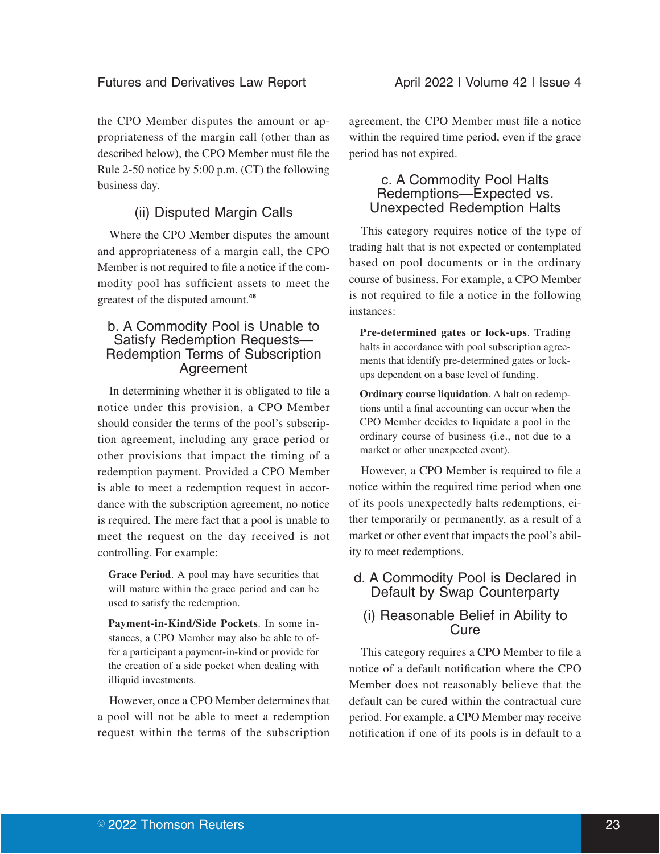#### Futures and Derivatives Law Report **April 2022 | Volume 42 | Issue 4**

the CPO Member disputes the amount or appropriateness of the margin call (other than as described below), the CPO Member must file the Rule 2-50 notice by 5:00 p.m. (CT) the following business day.

## (ii) Disputed Margin Calls

Where the CPO Member disputes the amount and appropriateness of a margin call, the CPO Member is not required to file a notice if the commodity pool has sufficient assets to meet the greatest of the disputed amount.**<sup>46</sup>**

### b. A Commodity Pool is Unable to Satisfy Redemption Requests— Redemption Terms of Subscription Agreement

In determining whether it is obligated to file a notice under this provision, a CPO Member should consider the terms of the pool's subscription agreement, including any grace period or other provisions that impact the timing of a redemption payment. Provided a CPO Member is able to meet a redemption request in accordance with the subscription agreement, no notice is required. The mere fact that a pool is unable to meet the request on the day received is not controlling. For example:

**Grace Period**. A pool may have securities that will mature within the grace period and can be used to satisfy the redemption.

**Payment-in-Kind/Side Pockets**. In some instances, a CPO Member may also be able to offer a participant a payment-in-kind or provide for the creation of a side pocket when dealing with illiquid investments.

However, once a CPO Member determines that a pool will not be able to meet a redemption request within the terms of the subscription agreement, the CPO Member must file a notice within the required time period, even if the grace period has not expired.

## c. A Commodity Pool Halts Redemptions—Expected vs. Unexpected Redemption Halts

This category requires notice of the type of trading halt that is not expected or contemplated based on pool documents or in the ordinary course of business. For example, a CPO Member is not required to file a notice in the following instances:

**Pre-determined gates or lock-ups**. Trading halts in accordance with pool subscription agreements that identify pre-determined gates or lockups dependent on a base level of funding.

**Ordinary course liquidation**. A halt on redemptions until a final accounting can occur when the CPO Member decides to liquidate a pool in the ordinary course of business (i.e., not due to a market or other unexpected event).

However, a CPO Member is required to file a notice within the required time period when one of its pools unexpectedly halts redemptions, either temporarily or permanently, as a result of a market or other event that impacts the pool's ability to meet redemptions.

## d. A Commodity Pool is Declared in Default by Swap Counterparty

## (i) Reasonable Belief in Ability to **Cure**

This category requires a CPO Member to file a notice of a default notification where the CPO Member does not reasonably believe that the default can be cured within the contractual cure period. For example, a CPO Member may receive notification if one of its pools is in default to a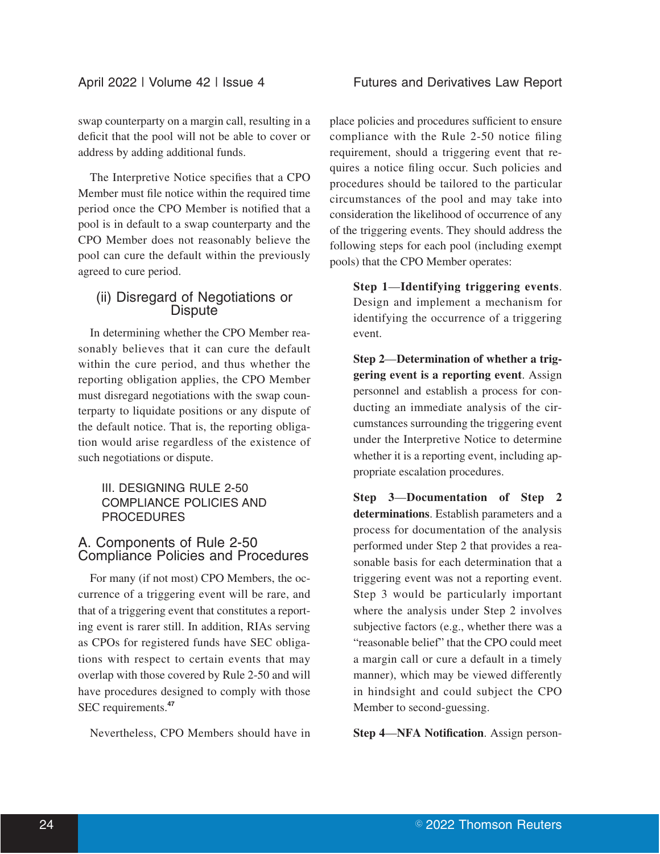swap counterparty on a margin call, resulting in a deficit that the pool will not be able to cover or address by adding additional funds.

The Interpretive Notice specifies that a CPO Member must file notice within the required time period once the CPO Member is notified that a pool is in default to a swap counterparty and the CPO Member does not reasonably believe the pool can cure the default within the previously agreed to cure period.

## (ii) Disregard of Negotiations or **Dispute**

In determining whether the CPO Member reasonably believes that it can cure the default within the cure period, and thus whether the reporting obligation applies, the CPO Member must disregard negotiations with the swap counterparty to liquidate positions or any dispute of the default notice. That is, the reporting obligation would arise regardless of the existence of such negotiations or dispute.

#### III. DESIGNING RULE 2-50 COMPLIANCE POLICIES AND PROCEDURES

## A. Components of Rule 2-50 Compliance Policies and Procedures

For many (if not most) CPO Members, the occurrence of a triggering event will be rare, and that of a triggering event that constitutes a reporting event is rarer still. In addition, RIAs serving as CPOs for registered funds have SEC obligations with respect to certain events that may overlap with those covered by Rule 2-50 and will have procedures designed to comply with those SEC requirements.**<sup>47</sup>**

Nevertheless, CPO Members should have in

place policies and procedures sufficient to ensure compliance with the Rule 2-50 notice filing requirement, should a triggering event that requires a notice filing occur. Such policies and procedures should be tailored to the particular circumstances of the pool and may take into consideration the likelihood of occurrence of any of the triggering events. They should address the following steps for each pool (including exempt pools) that the CPO Member operates:

**Step 1**—**Identifying triggering events**. Design and implement a mechanism for identifying the occurrence of a triggering event.

**Step 2**—**Determination of whether a triggering event is a reporting event**. Assign personnel and establish a process for conducting an immediate analysis of the circumstances surrounding the triggering event under the Interpretive Notice to determine whether it is a reporting event, including appropriate escalation procedures.

**Step 3**—**Documentation of Step 2 determinations**. Establish parameters and a process for documentation of the analysis performed under Step 2 that provides a reasonable basis for each determination that a triggering event was not a reporting event. Step 3 would be particularly important where the analysis under Step 2 involves subjective factors (e.g., whether there was a "reasonable belief" that the CPO could meet a margin call or cure a default in a timely manner), which may be viewed differently in hindsight and could subject the CPO Member to second-guessing.

**Step 4**—**NFA Notification**. Assign person-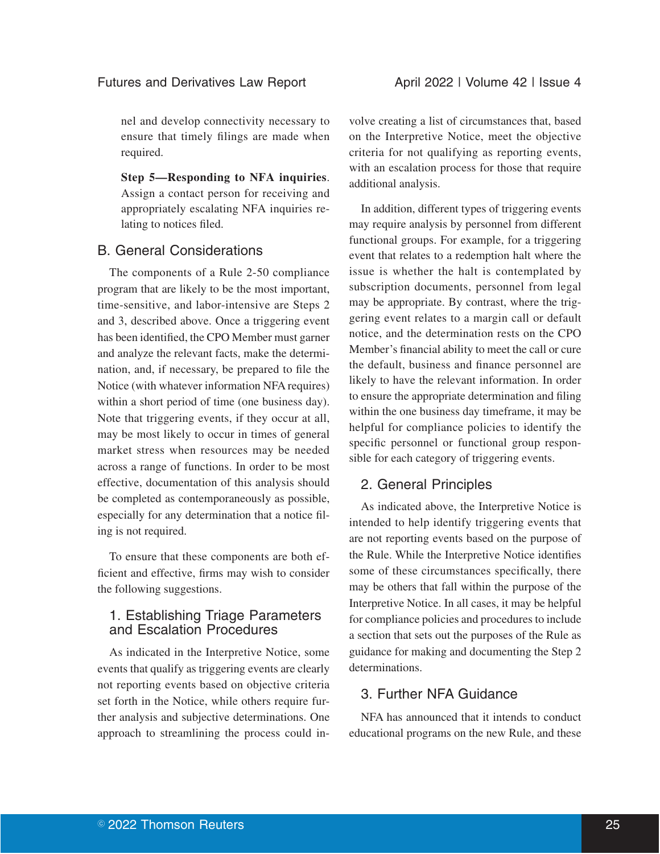nel and develop connectivity necessary to ensure that timely filings are made when required.

**Step 5—Responding to NFA inquiries**. Assign a contact person for receiving and appropriately escalating NFA inquiries relating to notices filed.

#### B. General Considerations

The components of a Rule 2-50 compliance program that are likely to be the most important, time-sensitive, and labor-intensive are Steps 2 and 3, described above. Once a triggering event has been identified, the CPO Member must garner and analyze the relevant facts, make the determination, and, if necessary, be prepared to file the Notice (with whatever information NFA requires) within a short period of time (one business day). Note that triggering events, if they occur at all, may be most likely to occur in times of general market stress when resources may be needed across a range of functions. In order to be most effective, documentation of this analysis should be completed as contemporaneously as possible, especially for any determination that a notice filing is not required.

To ensure that these components are both efficient and effective, firms may wish to consider the following suggestions.

## 1. Establishing Triage Parameters and Escalation Procedures

As indicated in the Interpretive Notice, some events that qualify as triggering events are clearly not reporting events based on objective criteria set forth in the Notice, while others require further analysis and subjective determinations. One approach to streamlining the process could in-

volve creating a list of circumstances that, based on the Interpretive Notice, meet the objective criteria for not qualifying as reporting events, with an escalation process for those that require additional analysis.

In addition, different types of triggering events may require analysis by personnel from different functional groups. For example, for a triggering event that relates to a redemption halt where the issue is whether the halt is contemplated by subscription documents, personnel from legal may be appropriate. By contrast, where the triggering event relates to a margin call or default notice, and the determination rests on the CPO Member's financial ability to meet the call or cure the default, business and finance personnel are likely to have the relevant information. In order to ensure the appropriate determination and filing within the one business day timeframe, it may be helpful for compliance policies to identify the specific personnel or functional group responsible for each category of triggering events.

#### 2. General Principles

As indicated above, the Interpretive Notice is intended to help identify triggering events that are not reporting events based on the purpose of the Rule. While the Interpretive Notice identifies some of these circumstances specifically, there may be others that fall within the purpose of the Interpretive Notice. In all cases, it may be helpful for compliance policies and procedures to include a section that sets out the purposes of the Rule as guidance for making and documenting the Step 2 determinations.

## 3. Further NFA Guidance

NFA has announced that it intends to conduct educational programs on the new Rule, and these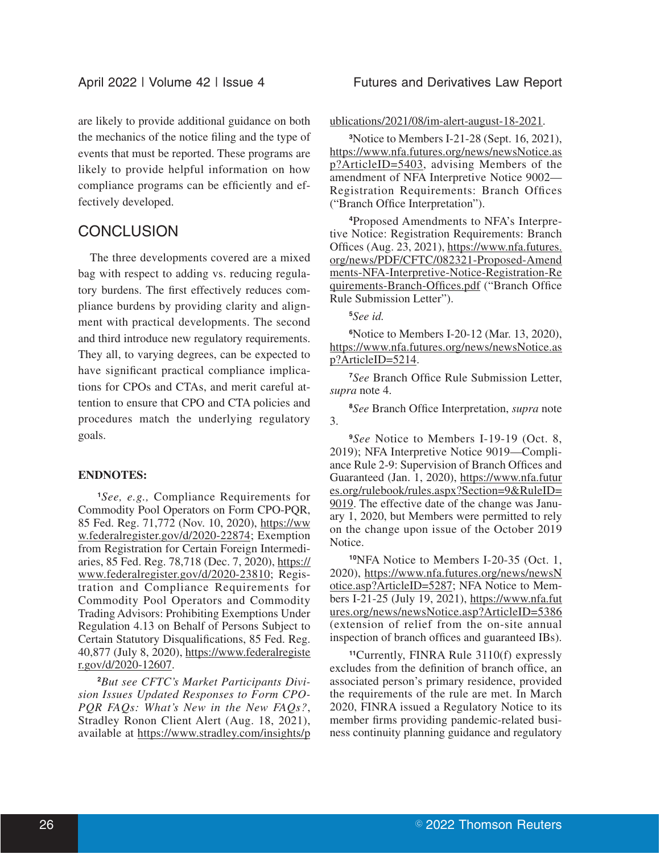are likely to provide additional guidance on both the mechanics of the notice filing and the type of events that must be reported. These programs are likely to provide helpful information on how compliance programs can be efficiently and effectively developed.

## **CONCLUSION**

The three developments covered are a mixed bag with respect to adding vs. reducing regulatory burdens. The first effectively reduces compliance burdens by providing clarity and alignment with practical developments. The second and third introduce new regulatory requirements. They all, to varying degrees, can be expected to have significant practical compliance implications for CPOs and CTAs, and merit careful attention to ensure that CPO and CTA policies and procedures match the underlying regulatory goals.

#### **ENDNOTES:**

**<sup>1</sup>***See, e.g.,* Compliance Requirements for Commodity Pool Operators on Form CPO-PQR, 85 Fed. Reg. 71,772 (Nov. 10, 2020), https://ww w.federalregister.gov/d/2020-22874; Exemption from Registration for Certain Foreign Intermediaries, 85 Fed. Reg. 78,718 (Dec. 7, 2020), https:// www.federalregister.gov/d/2020-23810; Registration and Compliance Requirements for Commodity Pool Operators and Commodity Trading Advisors: Prohibiting Exemptions Under Regulation 4.13 on Behalf of Persons Subject to Certain Statutory Disqualifications, 85 Fed. Reg. 40,877 (July 8, 2020), https://www.federalregiste r.gov/d/2020-12607.

**2***But see CFTC's Market Participants Division Issues Updated Responses to Form CPO-PQR FAQs: What's New in the New FAQs?*, Stradley Ronon Client Alert (Aug. 18, 2021), available at https://www.stradley.com/insights/p ublications/2021/08/im-alert-august-18-2021.

**<sup>3</sup>**Notice to Members I-21-28 (Sept. 16, 2021), https://www.nfa.futures.org/news/newsNotice.as p?ArticleID=5403, advising Members of the amendment of NFA Interpretive Notice 9002— Registration Requirements: Branch Offices ("Branch Office Interpretation").

**4**Proposed Amendments to NFA's Interpretive Notice: Registration Requirements: Branch Offices (Aug. 23, 2021), https://www.nfa.futures. org/news/PDF/CFTC/082321-Proposed-Amend ments-NFA-Interpretive-Notice-Registration-Re quirements-Branch-Offices.pdf ("Branch Office Rule Submission Letter").

**<sup>5</sup>***See id.*

**<sup>6</sup>**Notice to Members I-20-12 (Mar. 13, 2020), https://www.nfa.futures.org/news/newsNotice.as p?ArticleID=5214.

**<sup>7</sup>***See* Branch Office Rule Submission Letter, *supra* note 4.

**<sup>8</sup>***See* Branch Office Interpretation, *supra* note 3.

**<sup>9</sup>***See* Notice to Members I-19-19 (Oct. 8, 2019); NFA Interpretive Notice 9019—Compliance Rule 2-9: Supervision of Branch Offices and Guaranteed (Jan. 1, 2020), https://www.nfa.futur es.org/rulebook/rules.aspx?Section=9&RuleID= 9019. The effective date of the change was January 1, 2020, but Members were permitted to rely on the change upon issue of the October 2019 Notice.

**<sup>10</sup>**NFA Notice to Members I-20-35 (Oct. 1, 2020), https://www.nfa.futures.org/news/newsN otice.asp?ArticleID=5287; NFA Notice to Members I-21-25 (July 19, 2021), https://www.nfa.fut ures.org/news/newsNotice.asp?ArticleID=5386 (extension of relief from the on-site annual inspection of branch offices and guaranteed IBs).

**<sup>11</sup>**Currently, FINRA Rule 3110(f) expressly excludes from the definition of branch office, an associated person's primary residence, provided the requirements of the rule are met. In March 2020, FINRA issued a Regulatory Notice to its member firms providing pandemic-related business continuity planning guidance and regulatory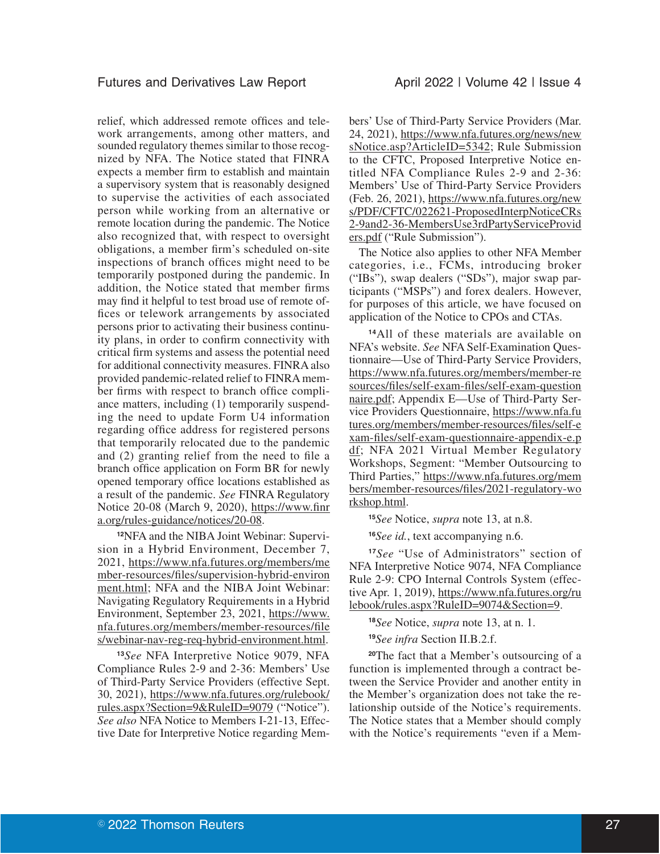relief, which addressed remote offices and telework arrangements, among other matters, and sounded regulatory themes similar to those recognized by NFA. The Notice stated that FINRA expects a member firm to establish and maintain a supervisory system that is reasonably designed to supervise the activities of each associated person while working from an alternative or remote location during the pandemic. The Notice also recognized that, with respect to oversight obligations, a member firm's scheduled on-site inspections of branch offices might need to be temporarily postponed during the pandemic. In addition, the Notice stated that member firms may find it helpful to test broad use of remote offices or telework arrangements by associated persons prior to activating their business continuity plans, in order to confirm connectivity with critical firm systems and assess the potential need for additional connectivity measures. FINRA also provided pandemic-related relief to FINRA member firms with respect to branch office compliance matters, including (1) temporarily suspending the need to update Form U4 information regarding office address for registered persons that temporarily relocated due to the pandemic and (2) granting relief from the need to file a branch office application on Form BR for newly opened temporary office locations established as a result of the pandemic. *See* FINRA Regulatory Notice 20-08 (March 9, 2020), https://www.finr a.org/rules-guidance/notices/20-08.

**12**NFA and the NIBA Joint Webinar: Supervision in a Hybrid Environment, December 7, 2021, https://www.nfa.futures.org/members/me mber-resources/files/supervision-hybrid-environ ment.html; NFA and the NIBA Joint Webinar: Navigating Regulatory Requirements in a Hybrid Environment, September 23, 2021, https://www. nfa.futures.org/members/member-resources/file s/webinar-nav-reg-req-hybrid-environment.html.

**<sup>13</sup>***See* NFA Interpretive Notice 9079, NFA Compliance Rules 2-9 and 2-36: Members' Use of Third-Party Service Providers (effective Sept. 30, 2021), https://www.nfa.futures.org/rulebook/ rules.aspx?Section=9&RuleID=9079 ("Notice"). *See also* NFA Notice to Members I-21-13, Effective Date for Interpretive Notice regarding Mem-

bers' Use of Third-Party Service Providers (Mar. 24, 2021), https://www.nfa.futures.org/news/new sNotice.asp?ArticleID=5342; Rule Submission to the CFTC, Proposed Interpretive Notice entitled NFA Compliance Rules 2-9 and 2-36: Members' Use of Third-Party Service Providers (Feb. 26, 2021), https://www.nfa.futures.org/new s/PDF/CFTC/022621-ProposedInterpNoticeCRs 2-9and2-36-MembersUse3rdPartyServiceProvid ers.pdf ("Rule Submission").

The Notice also applies to other NFA Member categories, i.e., FCMs, introducing broker ("IBs"), swap dealers ("SDs"), major swap participants ("MSPs") and forex dealers. However, for purposes of this article, we have focused on application of the Notice to CPOs and CTAs.

**<sup>14</sup>**All of these materials are available on NFA's website. *See* NFA Self-Examination Questionnaire—Use of Third-Party Service Providers, https://www.nfa.futures.org/members/member-re sources/files/self-exam-files/self-exam-question naire.pdf; Appendix E—Use of Third-Party Service Providers Questionnaire, https://www.nfa.fu tures.org/members/member-resources/files/self-e xam-files/self-exam-questionnaire-appendix-e.p df; NFA 2021 Virtual Member Regulatory Workshops, Segment: "Member Outsourcing to Third Parties," https://www.nfa.futures.org/mem bers/member-resources/files/2021-regulatory-wo rkshop.html.

**<sup>15</sup>***See* Notice, *supra* note 13, at n.8.

**<sup>16</sup>***See id.*, text accompanying n.6.

**<sup>17</sup>***See* "Use of Administrators" section of NFA Interpretive Notice 9074, NFA Compliance Rule 2-9: CPO Internal Controls System (effective Apr. 1, 2019), https://www.nfa.futures.org/ru lebook/rules.aspx?RuleID=9074&Section=9.

**<sup>18</sup>***See* Notice, *supra* note 13, at n. 1.

**<sup>19</sup>***See infra* Section II.B.2.f.

**<sup>20</sup>**The fact that a Member's outsourcing of a function is implemented through a contract between the Service Provider and another entity in the Member's organization does not take the relationship outside of the Notice's requirements. The Notice states that a Member should comply with the Notice's requirements "even if a Mem-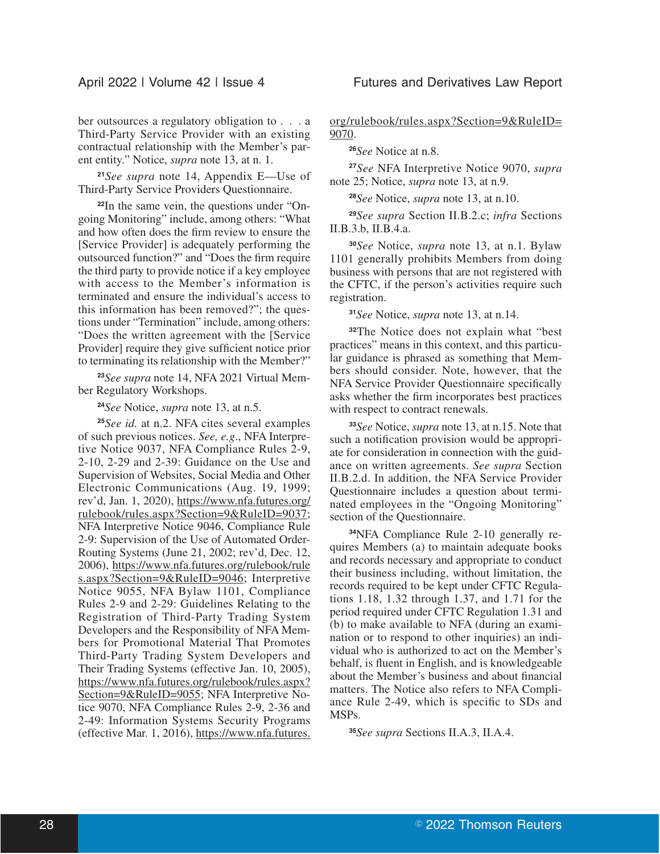**<sup>21</sup>***See supra* note 14, Appendix E—Use of Third-Party Service Providers Questionnaire.

**22**In the same vein, the questions under "Ongoing Monitoring" include, among others: "What and how often does the firm review to ensure the [Service Provider] is adequately performing the outsourced function?" and "Does the firm require the third party to provide notice if a key employee with access to the Member's information is terminated and ensure the individual's access to this information has been removed?"; the questions under "Termination" include, among others: "Does the written agreement with the [Service Provider] require they give sufficient notice prior to terminating its relationship with the Member?"

**<sup>23</sup>***See supra* note 14, NFA 2021 Virtual Member Regulatory Workshops.

**<sup>24</sup>***See* Notice, *supra* note 13, at n.5.

**<sup>25</sup>***See id.* at n.2. NFA cites several examples of such previous notices. *See, e.g*., NFA Interpretive Notice 9037, NFA Compliance Rules 2-9, 2-10, 2-29 and 2-39: Guidance on the Use and Supervision of Websites, Social Media and Other Electronic Communications (Aug. 19, 1999; rev'd, Jan. 1, 2020), https://www.nfa.futures.org/ rulebook/rules.aspx?Section=9&RuleID=9037; NFA Interpretive Notice 9046, Compliance Rule 2-9: Supervision of the Use of Automated Order-Routing Systems (June 21, 2002; rev'd, Dec. 12, 2006), https://www.nfa.futures.org/rulebook/rule s.aspx?Section=9&RuleID=9046; Interpretive Notice 9055, NFA Bylaw 1101, Compliance Rules 2-9 and 2-29: Guidelines Relating to the Registration of Third-Party Trading System Developers and the Responsibility of NFA Members for Promotional Material That Promotes Third-Party Trading System Developers and Their Trading Systems (effective Jan. 10, 2005), https://www.nfa.futures.org/rulebook/rules.aspx? Section=9&RuleID=9055; NFA Interpretive Notice 9070, NFA Compliance Rules 2-9, 2-36 and 2-49: Information Systems Security Programs (effective Mar. 1, 2016), https://www.nfa.futures. org/rulebook/rules.aspx?Section=9&RuleID= 9070.

**<sup>26</sup>***See* Notice at n.8.

**<sup>27</sup>***See* NFA Interpretive Notice 9070, *supra* note 25; Notice, *supra* note 13, at n.9.

**<sup>28</sup>***See* Notice, *supra* note 13, at n.10.

**<sup>29</sup>***See supra* Section II.B.2.c; *infra* Sections II.B.3.b, II.B.4.a.

**<sup>30</sup>***See* Notice, *supra* note 13, at n.1. Bylaw 1101 generally prohibits Members from doing business with persons that are not registered with the CFTC, if the person's activities require such registration.

**<sup>31</sup>***See* Notice, *supra* note 13, at n.14.

**<sup>32</sup>**The Notice does not explain what "best practices" means in this context, and this particular guidance is phrased as something that Members should consider. Note, however, that the NFA Service Provider Questionnaire specifically asks whether the firm incorporates best practices with respect to contract renewals.

**<sup>33</sup>***See* Notice, *supra* note 13, at n.15. Note that such a notification provision would be appropriate for consideration in connection with the guidance on written agreements. *See supra* Section II.B.2.d. In addition, the NFA Service Provider Questionnaire includes a question about terminated employees in the "Ongoing Monitoring" section of the Questionnaire.

**34**NFA Compliance Rule 2-10 generally requires Members (a) to maintain adequate books and records necessary and appropriate to conduct their business including, without limitation, the records required to be kept under CFTC Regulations 1.18, 1.32 through 1.37, and 1.71 for the period required under CFTC Regulation 1.31 and (b) to make available to NFA (during an examination or to respond to other inquiries) an individual who is authorized to act on the Member's behalf, is fluent in English, and is knowledgeable about the Member's business and about financial matters. The Notice also refers to NFA Compliance Rule 2-49, which is specific to SDs and MSPs.

**<sup>35</sup>***See supra* Sections II.A.3, II.A.4.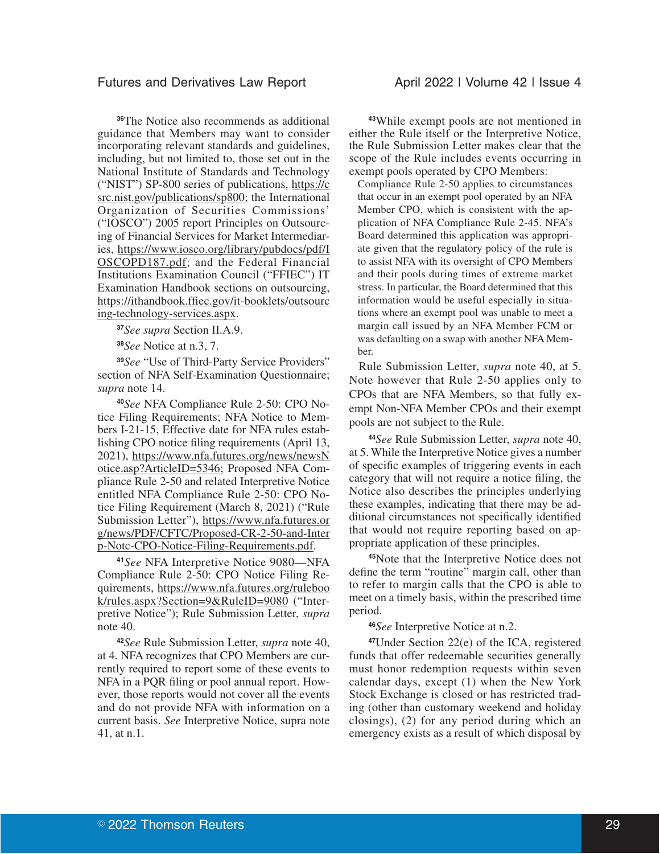#### Futures and Derivatives Law Report **April 2022 | Volume 42 | Issue 4**

**<sup>36</sup>**The Notice also recommends as additional guidance that Members may want to consider incorporating relevant standards and guidelines, including, but not limited to, those set out in the National Institute of Standards and Technology ("NIST") SP-800 series of publications, https://c src.nist.gov/publications/sp800; the International Organization of Securities Commissions' ("IOSCO") 2005 report Principles on Outsourcing of Financial Services for Market Intermediaries, https://www.iosco.org/library/pubdocs/pdf/I OSCOPD187.pdf; and the Federal Financial Institutions Examination Council ("FFIEC") IT Examination Handbook sections on outsourcing, https://ithandbook.ffiec.gov/it-booklets/outsourc ing-technology-services.aspx.

**<sup>37</sup>***See supra* Section II.A.9.

**<sup>38</sup>***See* Notice at n.3, 7.

**<sup>39</sup>***See* "Use of Third-Party Service Providers" section of NFA Self-Examination Questionnaire; *supra* note 14.

**<sup>40</sup>***See* NFA Compliance Rule 2-50: CPO Notice Filing Requirements; NFA Notice to Members I-21-15, Effective date for NFA rules establishing CPO notice filing requirements (April 13, 2021), https://www.nfa.futures.org/news/newsN otice.asp?ArticleID=5346; Proposed NFA Compliance Rule 2-50 and related Interpretive Notice entitled NFA Compliance Rule 2-50: CPO Notice Filing Requirement (March 8, 2021) ("Rule Submission Letter"), https://www.nfa.futures.or g/news/PDF/CFTC/Proposed-CR-2-50-and-Inter p-Notc-CPO-Notice-Filing-Requirements.pdf.

**<sup>41</sup>***See* NFA Interpretive Notice 9080—NFA Compliance Rule 2-50: CPO Notice Filing Requirements, https://www.nfa.futures.org/ruleboo k/rules.aspx?Section=9&RuleID=9080 ("Interpretive Notice"); Rule Submission Letter, *supra* note 40.

**<sup>42</sup>***See* Rule Submission Letter, *supra* note 40, at 4. NFA recognizes that CPO Members are currently required to report some of these events to NFA in a PQR filing or pool annual report. However, those reports would not cover all the events and do not provide NFA with information on a current basis. *See* Interpretive Notice, supra note 41, at n.1.

**<sup>43</sup>**While exempt pools are not mentioned in either the Rule itself or the Interpretive Notice, the Rule Submission Letter makes clear that the scope of the Rule includes events occurring in exempt pools operated by CPO Members:

Compliance Rule 2-50 applies to circumstances that occur in an exempt pool operated by an NFA Member CPO, which is consistent with the application of NFA Compliance Rule 2-45. NFA's Board determined this application was appropriate given that the regulatory policy of the rule is to assist NFA with its oversight of CPO Members and their pools during times of extreme market stress. In particular, the Board determined that this information would be useful especially in situations where an exempt pool was unable to meet a margin call issued by an NFA Member FCM or was defaulting on a swap with another NFA Member.

Rule Submission Letter, *supra* note 40, at 5. Note however that Rule 2-50 applies only to CPOs that are NFA Members, so that fully exempt Non-NFA Member CPOs and their exempt pools are not subject to the Rule.

**<sup>44</sup>***See* Rule Submission Letter, *supra* note 40, at 5. While the Interpretive Notice gives a number of specific examples of triggering events in each category that will not require a notice filing, the Notice also describes the principles underlying these examples, indicating that there may be additional circumstances not specifically identified that would not require reporting based on appropriate application of these principles.

**<sup>45</sup>**Note that the Interpretive Notice does not define the term "routine" margin call, other than to refer to margin calls that the CPO is able to meet on a timely basis, within the prescribed time period.

**<sup>46</sup>***See* Interpretive Notice at n.2.

**<sup>47</sup>**Under Section 22(e) of the ICA, registered funds that offer redeemable securities generally must honor redemption requests within seven calendar days, except (1) when the New York Stock Exchange is closed or has restricted trading (other than customary weekend and holiday closings), (2) for any period during which an emergency exists as a result of which disposal by